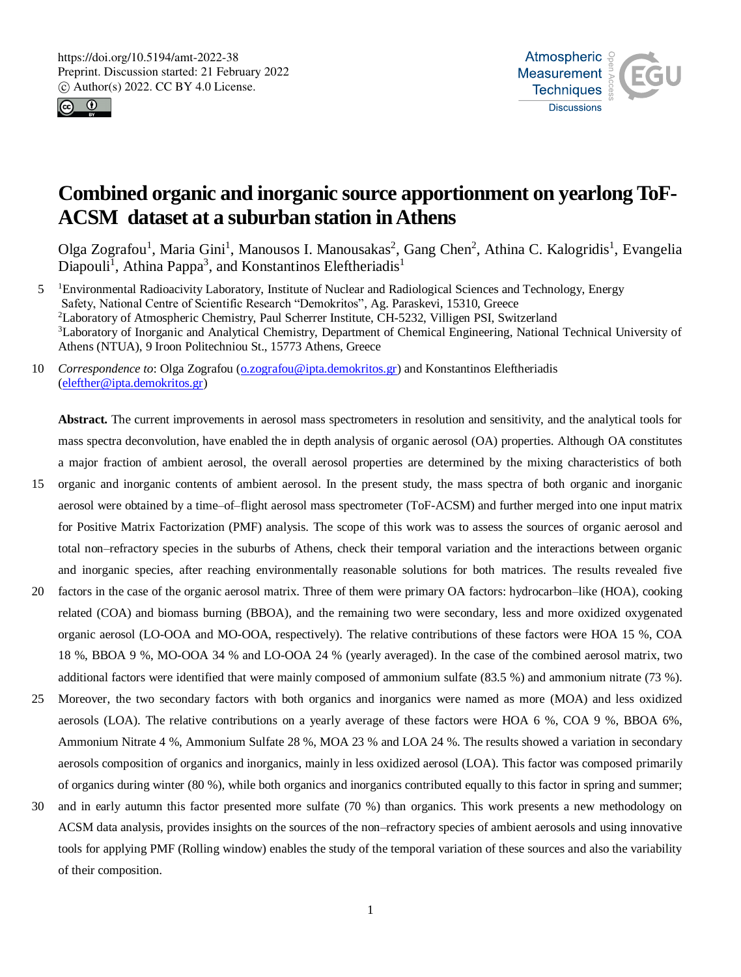



# **Combined organic and inorganic source apportionment on yearlong ToF-ACSM dataset at a suburban station in Athens**

Olga Zografou<sup>1</sup>, Maria Gini<sup>1</sup>, Manousos I. Manousakas<sup>2</sup>, Gang Chen<sup>2</sup>, Athina C. Kalogridis<sup>1</sup>, Evangelia Diapouli<sup>1</sup>, Athina Pappa<sup>3</sup>, and Konstantinos Eleftheriadis<sup>1</sup>

- <sup>1</sup> 5 Environmental Radioacivity Laboratory, Institute of Nuclear and Radiological Sciences and Technology, Energy Safety, National Centre of Scientific Research "Demokritos", Ag. Paraskevi, 15310, Greece <sup>2</sup>Laboratory of Atmospheric Chemistry, Paul Scherrer Institute, CH-5232, Villigen PSI, Switzerland <sup>3</sup>Laboratory of Inorganic and Analytical Chemistry, Department of Chemical Engineering, National Technical University of Athens (NTUA), 9 Iroon Politechniou St., 15773 Athens, Greece
- 10 *Correspondence to*: Olga Zografou (o.zografou@ipta.demokritos.gr) and Konstantinos Eleftheriadis (elefther@ipta.demokritos.gr)

**Abstract.** The current improvements in aerosol mass spectrometers in resolution and sensitivity, and the analytical tools for mass spectra deconvolution, have enabled the in depth analysis of organic aerosol (OA) properties. Although OA constitutes a major fraction of ambient aerosol, the overall aerosol properties are determined by the mixing characteristics of both

- 15 organic and inorganic contents of ambient aerosol. In the present study, the mass spectra of both organic and inorganic aerosol were obtained by a time–of–flight aerosol mass spectrometer (ToF-ACSM) and further merged into one input matrix for Positive Matrix Factorization (PMF) analysis. The scope of this work was to assess the sources of organic aerosol and total non–refractory species in the suburbs of Athens, check their temporal variation and the interactions between organic and inorganic species, after reaching environmentally reasonable solutions for both matrices. The results revealed five
- 20 factors in the case of the organic aerosol matrix. Three of them were primary OA factors: hydrocarbon–like (HOA), cooking related (COA) and biomass burning (BBOA), and the remaining two were secondary, less and more oxidized oxygenated organic aerosol (LO-OOA and MO-OOA, respectively). The relative contributions of these factors were HOA 15 %, COA 18 %, BBOA 9 %, MO-OOA 34 % and LO-OOA 24 % (yearly averaged). In the case of the combined aerosol matrix, two additional factors were identified that were mainly composed of ammonium sulfate (83.5 %) and ammonium nitrate (73 %).
- 25 Moreover, the two secondary factors with both organics and inorganics were named as more (MOA) and less oxidized aerosols (LOA). The relative contributions on a yearly average of these factors were HOA 6 %, COA 9 %, BBOA 6%, Ammonium Nitrate 4 %, Ammonium Sulfate 28 %, MOA 23 % and LOA 24 %. The results showed a variation in secondary aerosols composition of organics and inorganics, mainly in less oxidized aerosol (LOA). This factor was composed primarily of organics during winter (80 %), while both organics and inorganics contributed equally to this factor in spring and summer;
- 30 and in early autumn this factor presented more sulfate (70 %) than organics. This work presents a new methodology on ACSM data analysis, provides insights on the sources of the non–refractory species of ambient aerosols and using innovative tools for applying PMF (Rolling window) enables the study of the temporal variation of these sources and also the variability of their composition.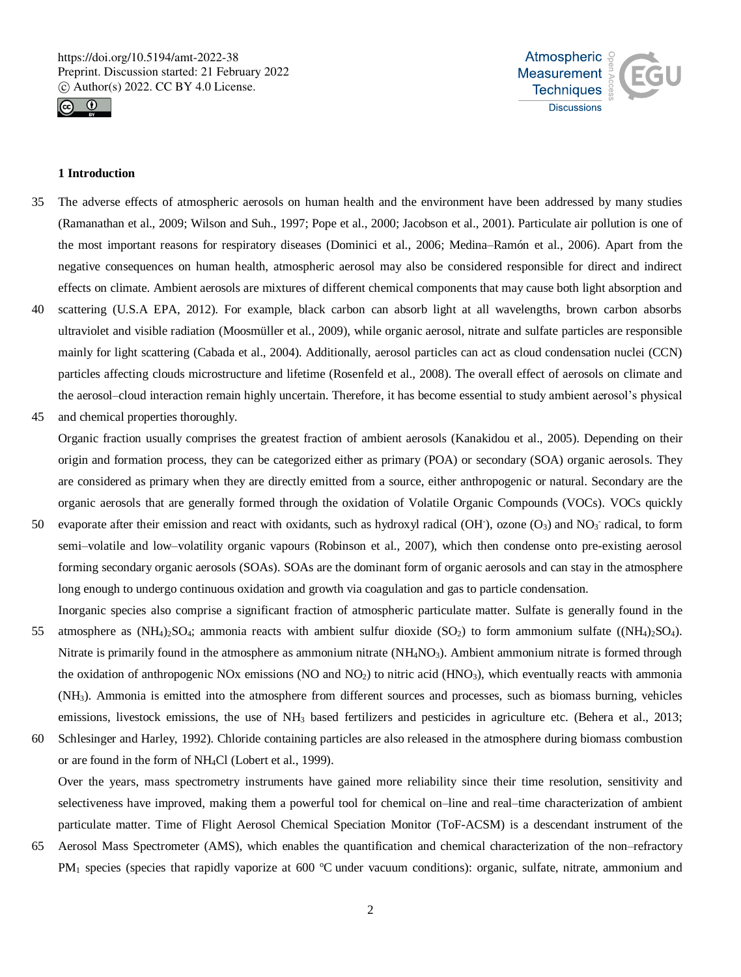



# **1 Introduction**

- 35 The adverse effects of atmospheric aerosols on human health and the environment have been addressed by many studies (Ramanathan et al., 2009; Wilson and Suh., 1997; Pope et al., 2000; Jacobson et al., 2001). Particulate air pollution is one of the most important reasons for respiratory diseases (Dominici et al., 2006; Medina–Ramón et al., 2006). Apart from the negative consequences on human health, atmospheric aerosol may also be considered responsible for direct and indirect effects on climate. Ambient aerosols are mixtures of different chemical components that may cause both light absorption and
- 40 scattering (U.S.A EPA, 2012). For example, black carbon can absorb light at all wavelengths, brown carbon absorbs ultraviolet and visible radiation (Moosmüller et al., 2009), while organic aerosol, nitrate and sulfate particles are responsible mainly for light scattering (Cabada et al., 2004). Additionally, aerosol particles can act as cloud condensation nuclei (CCN) particles affecting clouds microstructure and lifetime (Rosenfeld et al., 2008). The overall effect of aerosols on climate and the aerosol–cloud interaction remain highly uncertain. Therefore, it has become essential to study ambient aerosol's physical
- 45 and chemical properties thoroughly.

Organic fraction usually comprises the greatest fraction of ambient aerosols (Kanakidou et al., 2005). Depending on their origin and formation process, they can be categorized either as primary (POA) or secondary (SOA) organic aerosols. They are considered as primary when they are directly emitted from a source, either anthropogenic or natural. Secondary are the organic aerosols that are generally formed through the oxidation of Volatile Organic Compounds (VOCs). VOCs quickly

- 50 evaporate after their emission and react with oxidants, such as hydroxyl radical (OH), ozone (O<sub>3</sub>) and NO<sub>3</sub> radical, to form semi–volatile and low–volatility organic vapours (Robinson et al., 2007), which then condense onto pre-existing aerosol forming secondary organic aerosols (SOAs). SOAs are the dominant form of organic aerosols and can stay in the atmosphere long enough to undergo continuous oxidation and growth via coagulation and gas to particle condensation. Inorganic species also comprise a significant fraction of atmospheric particulate matter. Sulfate is generally found in the
- 55 atmosphere as  $(NH_4)_2SO_4$ ; ammonia reacts with ambient sulfur dioxide  $(SO_2)$  to form ammonium sulfate  $((NH_4)_2SO_4)$ . Nitrate is primarily found in the atmosphere as ammonium nitrate  $(NH_4NO_3)$ . Ambient ammonium nitrate is formed through the oxidation of anthropogenic NOx emissions (NO and  $NO<sub>2</sub>$ ) to nitric acid (HNO<sub>3</sub>), which eventually reacts with ammonia (NH3). Ammonia is emitted into the atmosphere from different sources and processes, such as biomass burning, vehicles emissions, livestock emissions, the use of NH<sub>3</sub> based fertilizers and pesticides in agriculture etc. (Behera et al., 2013;
- 60 Schlesinger and Harley, 1992). Chloride containing particles are also released in the atmosphere during biomass combustion or are found in the form of NH4Cl (Lobert et al., 1999).

Over the years, mass spectrometry instruments have gained more reliability since their time resolution, sensitivity and selectiveness have improved, making them a powerful tool for chemical on–line and real–time characterization of ambient particulate matter. Time of Flight Aerosol Chemical Speciation Monitor (ToF-ACSM) is a descendant instrument of the

65 Aerosol Mass Spectrometer (AMS), which enables the quantification and chemical characterization of the non–refractory PM<sub>1</sub> species (species that rapidly vaporize at 600  $^{\circ}$ C under vacuum conditions): organic, sulfate, nitrate, ammonium and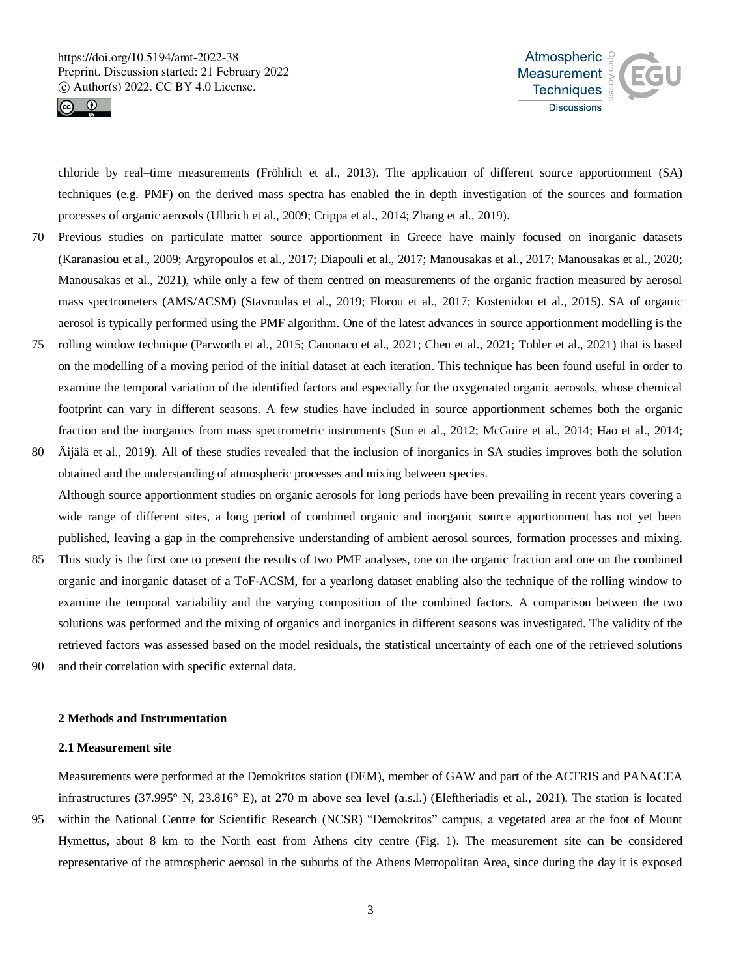



chloride by real–time measurements (Fröhlich et al., 2013). The application of different source apportionment (SA) techniques (e.g. PMF) on the derived mass spectra has enabled the in depth investigation of the sources and formation processes of organic aerosols (Ulbrich et al., 2009; Crippa et al., 2014; Zhang et al., 2019).

- 70 Previous studies on particulate matter source apportionment in Greece have mainly focused on inorganic datasets (Karanasiou et al., 2009; Argyropoulos et al., 2017; Diapouli et al., 2017; Manousakas et al., 2017; Manousakas et al., 2020; Manousakas et al., 2021), while only a few of them centred on measurements of the organic fraction measured by aerosol mass spectrometers (AMS/ACSM) (Stavroulas et al., 2019; Florou et al., 2017; Kostenidou et al., 2015). SA of organic aerosol is typically performed using the PMF algorithm. One of the latest advances in source apportionment modelling is the
- 75 rolling window technique (Parworth et al., 2015; Canonaco et al., 2021; Chen et al., 2021; Tobler et al., 2021) that is based on the modelling of a moving period of the initial dataset at each iteration. This technique has been found useful in order to examine the temporal variation of the identified factors and especially for the oxygenated organic aerosols, whose chemical footprint can vary in different seasons. A few studies have included in source apportionment schemes both the organic fraction and the inorganics from mass spectrometric instruments (Sun et al., 2012; McGuire et al., 2014; Hao et al., 2014;
- 80 Äijälä et al., 2019). All of these studies revealed that the inclusion of inorganics in SA studies improves both the solution obtained and the understanding of atmospheric processes and mixing between species. Although source apportionment studies on organic aerosols for long periods have been prevailing in recent years covering a wide range of different sites, a long period of combined organic and inorganic source apportionment has not yet been

published, leaving a gap in the comprehensive understanding of ambient aerosol sources, formation processes and mixing.

- 85 This study is the first one to present the results of two PMF analyses, one on the organic fraction and one on the combined organic and inorganic dataset of a ToF-ACSM, for a yearlong dataset enabling also the technique of the rolling window to examine the temporal variability and the varying composition of the combined factors. A comparison between the two solutions was performed and the mixing of organics and inorganics in different seasons was investigated. The validity of the retrieved factors was assessed based on the model residuals, the statistical uncertainty of each one of the retrieved solutions
- 90 and their correlation with specific external data.

## **2 Methods and Instrumentation**

#### **2.1 Measurement site**

Measurements were performed at the Demokritos station (DEM), member of GAW and part of the ACTRIS and PANACEA infrastructures (37.995° N, 23.816° E), at 270 m above sea level (a.s.l.) (Eleftheriadis et al., 2021). The station is located

95 within the National Centre for Scientific Research (NCSR) "Demokritos" campus, a vegetated area at the foot of Mount Hymettus, about 8 km to the North east from Athens city centre (Fig. 1). The measurement site can be considered representative of the atmospheric aerosol in the suburbs of the Athens Metropolitan Area, since during the day it is exposed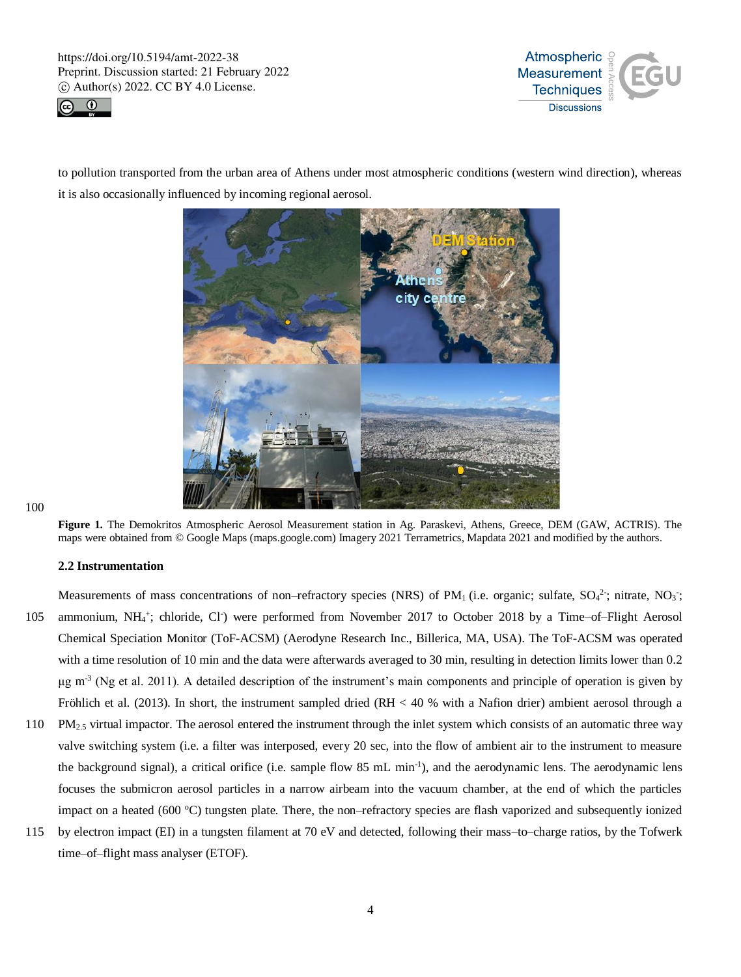



to pollution transported from the urban area of Athens under most atmospheric conditions (western wind direction), whereas it is also occasionally influenced by incoming regional aerosol.



#### 100

**Figure 1.** The Demokritos Atmospheric Aerosol Measurement station in Ag. Paraskevi, Athens, Greece, DEM (GAW, ACTRIS). The maps were obtained from © Google Maps (maps.google.com) Imagery 2021 Terrametrics, Mapdata 2021 and modified by the authors.

#### **2.2 Instrumentation**

- Measurements of mass concentrations of non-refractory species (NRS) of PM<sub>1</sub> (i.e. organic; sulfate,  $SO_4^2$ ; nitrate, NO<sub>3</sub>; 105 ammonium, NH<sub>4</sub><sup>+</sup>; chloride, Cl<sup>-</sup>) were performed from November 2017 to October 2018 by a Time-of-Flight Aerosol Chemical Speciation Monitor (ToF-ACSM) (Aerodyne Research Inc., Billerica, MA, USA). The ToF-ACSM was operated with a time resolution of 10 min and the data were afterwards averaged to 30 min, resulting in detection limits lower than 0.2 μg m<sup>-3</sup> (Ng et al. 2011). A detailed description of the instrument's main components and principle of operation is given by Fröhlich et al. (2013). In short, the instrument sampled dried (RH < 40 % with a Nafion drier) ambient aerosol through a
- 110 PM2.5 virtual impactor. The aerosol entered the instrument through the inlet system which consists of an automatic three way valve switching system (i.e. a filter was interposed, every 20 sec, into the flow of ambient air to the instrument to measure the background signal), a critical orifice (i.e. sample flow 85 mL min<sup>-1</sup>), and the aerodynamic lens. The aerodynamic lens focuses the submicron aerosol particles in a narrow airbeam into the vacuum chamber, at the end of which the particles impact on a heated (600 °C) tungsten plate. There, the non–refractory species are flash vaporized and subsequently ionized
- 115 by electron impact (EI) in a tungsten filament at 70 eV and detected, following their mass–to–charge ratios, by the Tofwerk time–of–flight mass analyser (ETOF).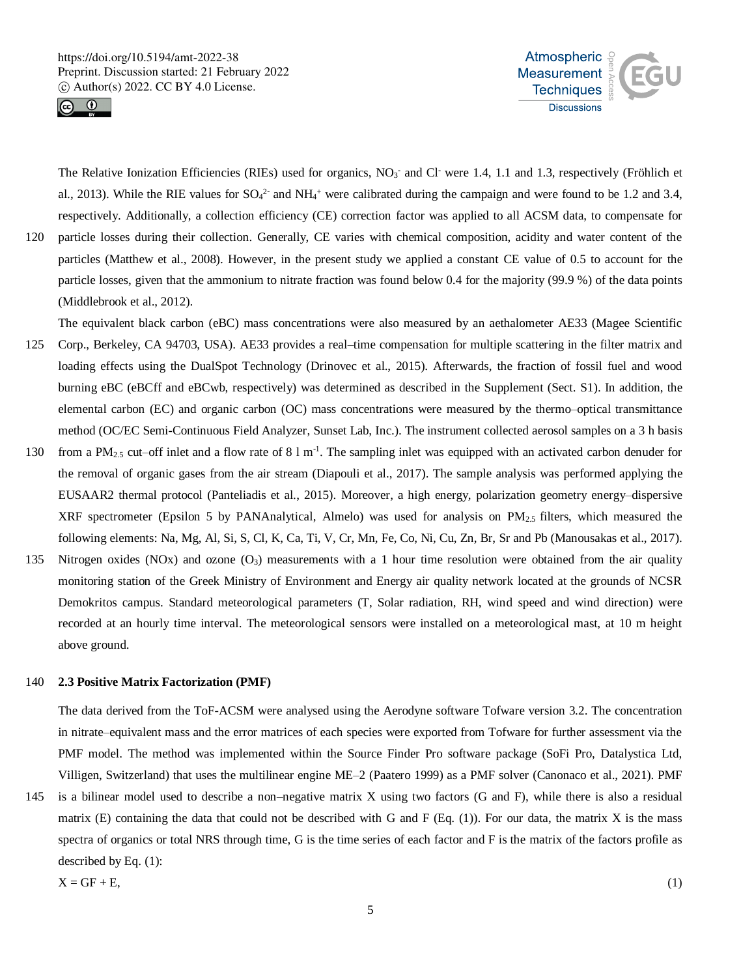



The Relative Ionization Efficiencies (RIEs) used for organics,  $NO<sub>3</sub>$  and Cl were 1.4, 1.1 and 1.3, respectively (Fröhlich et al., 2013). While the RIE values for  $SO_4^2$  and  $NH_4$ <sup>+</sup> were calibrated during the campaign and were found to be 1.2 and 3.4, respectively. Additionally, a collection efficiency (CE) correction factor was applied to all ACSM data, to compensate for 120 particle losses during their collection. Generally, CE varies with chemical composition, acidity and water content of the particles (Matthew et al., 2008). However, in the present study we applied a constant CE value of 0.5 to account for the particle losses, given that the ammonium to nitrate fraction was found below 0.4 for the majority (99.9 %) of the data points (Middlebrook et al., 2012).

The equivalent black carbon (eBC) mass concentrations were also measured by an aethalometer AE33 (Magee Scientific 125 Corp., Berkeley, CA 94703, USA). AE33 provides a real–time compensation for multiple scattering in the filter matrix and loading effects using the DualSpot Technology (Drinovec et al., 2015). Afterwards, the fraction of fossil fuel and wood burning eBC (eBCff and eBCwb, respectively) was determined as described in the Supplement (Sect. S1). In addition, the elemental carbon (EC) and organic carbon (OC) mass concentrations were measured by the thermo–optical transmittance method (OC/EC Semi-Continuous Field Analyzer, Sunset Lab, Inc.). The instrument collected aerosol samples on a 3 h basis

- 130 from a PM<sub>2.5</sub> cut–off inlet and a flow rate of 8 l m<sup>-1</sup>. The sampling inlet was equipped with an activated carbon denuder for the removal of organic gases from the air stream (Diapouli et al., 2017). The sample analysis was performed applying the EUSAAR2 thermal protocol (Panteliadis et al., 2015). Moreover, a high energy, polarization geometry energy–dispersive XRF spectrometer (Epsilon 5 by PANAnalytical, Almelo) was used for analysis on  $PM_{2.5}$  filters, which measured the following elements: Na, Mg, Al, Si, S, Cl, K, Ca, Ti, V, Cr, Mn, Fe, Co, Ni, Cu, Zn, Br, Sr and Pb (Manousakas et al., 2017).
- 135 Nitrogen oxides (NOx) and ozone  $(O_3)$  measurements with a 1 hour time resolution were obtained from the air quality monitoring station of the Greek Ministry of Environment and Energy air quality network located at the grounds of NCSR Demokritos campus. Standard meteorological parameters (T, Solar radiation, RH, wind speed and wind direction) were recorded at an hourly time interval. The meteorological sensors were installed on a meteorological mast, at 10 m height above ground.

## 140 **2.3 Positive Matrix Factorization (PMF)**

The data derived from the ToF-ACSM were analysed using the Aerodyne software Tofware version 3.2. The concentration in nitrate–equivalent mass and the error matrices of each species were exported from Tofware for further assessment via the PMF model. The method was implemented within the Source Finder Pro software package (SoFi Pro, Datalystica Ltd, Villigen, Switzerland) that uses the multilinear engine ME–2 (Paatero 1999) as a PMF solver (Canonaco et al., 2021). PMF

145 is a bilinear model used to describe a non–negative matrix X using two factors (G and F), while there is also a residual matrix (E) containing the data that could not be described with G and F (Eq.  $(1)$ ). For our data, the matrix X is the mass spectra of organics or total NRS through time, G is the time series of each factor and F is the matrix of the factors profile as described by Eq. (1):

$$
X = GF + E,\tag{1}
$$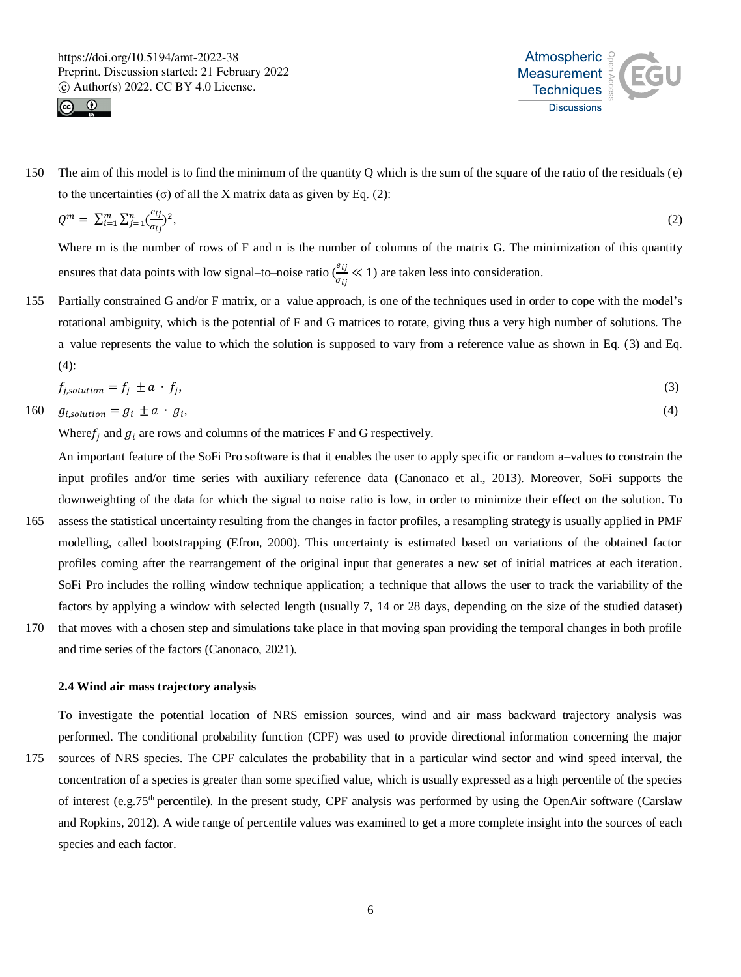



150 The aim of this model is to find the minimum of the quantity Q which is the sum of the square of the ratio of the residuals (e) to the uncertainties (σ) of all the X matrix data as given by Eq. (2):

$$
Q^m = \sum_{i=1}^m \sum_{j=1}^n \left(\frac{e_{ij}}{\sigma_{ij}}\right)^2,\tag{2}
$$

Where m is the number of rows of F and n is the number of columns of the matrix G. The minimization of this quantity ensures that data points with low signal–to–noise ratio  $\left(\frac{e_{ij}}{2}\right)$  $\frac{\partial u_j}{\partial u_j} \ll 1$ ) are taken less into consideration.

155 Partially constrained G and/or F matrix, or a–value approach, is one of the techniques used in order to cope with the model's rotational ambiguity, which is the potential of F and G matrices to rotate, giving thus a very high number of solutions. The a–value represents the value to which the solution is supposed to vary from a reference value as shown in Eq. (3) and Eq. (4):

$$
f_{j, solution} = f_j \pm a \cdot f_j,\tag{3}
$$

$$
160 \t g_{i, solution} = g_i \pm a \cdot g_i,\t(4)
$$

Where  $f_i$  and  $g_i$  are rows and columns of the matrices F and G respectively.

An important feature of the SoFi Pro software is that it enables the user to apply specific or random a–values to constrain the input profiles and/or time series with auxiliary reference data (Canonaco et al., 2013). Moreover, SoFi supports the downweighting of the data for which the signal to noise ratio is low, in order to minimize their effect on the solution. To

- 165 assess the statistical uncertainty resulting from the changes in factor profiles, a resampling strategy is usually applied in PMF modelling, called bootstrapping (Efron, 2000). This uncertainty is estimated based on variations of the obtained factor profiles coming after the rearrangement of the original input that generates a new set of initial matrices at each iteration. SoFi Pro includes the rolling window technique application; a technique that allows the user to track the variability of the factors by applying a window with selected length (usually 7, 14 or 28 days, depending on the size of the studied dataset)
- 170 that moves with a chosen step and simulations take place in that moving span providing the temporal changes in both profile and time series of the factors (Canonaco, 2021).

# **2.4 Wind air mass trajectory analysis**

To investigate the potential location of NRS emission sources, wind and air mass backward trajectory analysis was performed. The conditional probability function (CPF) was used to provide directional information concerning the major

175 sources of NRS species. The CPF calculates the probability that in a particular wind sector and wind speed interval, the concentration of a species is greater than some specified value, which is usually expressed as a high percentile of the species of interest (e.g.75<sup>th</sup> percentile). In the present study, CPF analysis was performed by using the OpenAir software (Carslaw and Ropkins, 2012). A wide range of percentile values was examined to get a more complete insight into the sources of each species and each factor.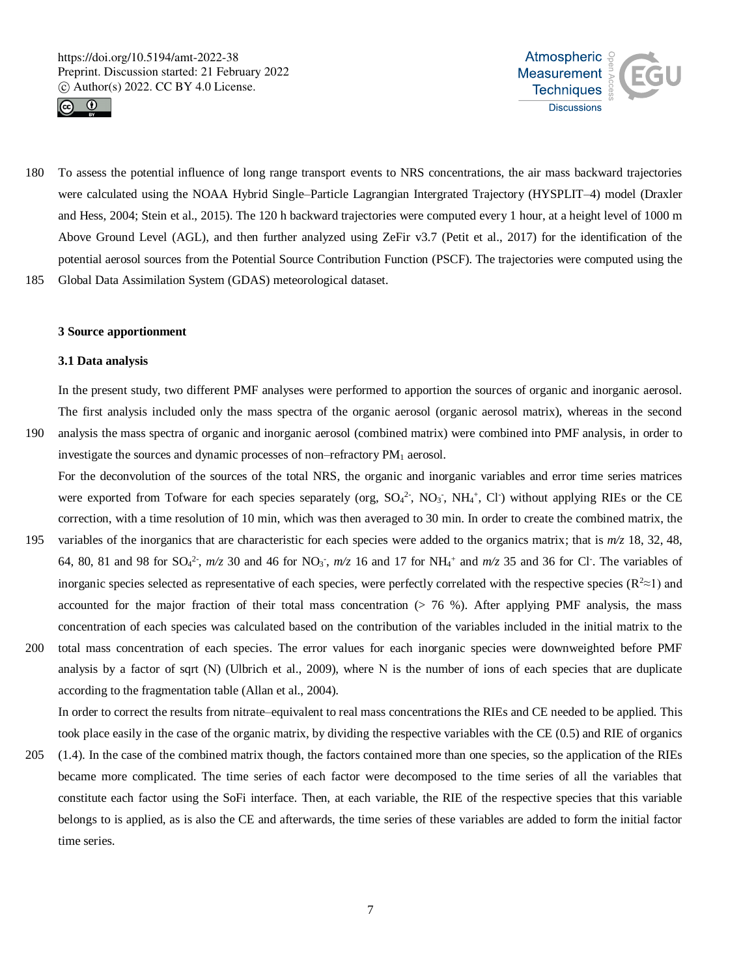



180 To assess the potential influence of long range transport events to NRS concentrations, the air mass backward trajectories were calculated using the NOAA Hybrid Single–Particle Lagrangian Intergrated Trajectory (HYSPLIT–4) model (Draxler and Hess, 2004; Stein et al., 2015). The 120 h backward trajectories were computed every 1 hour, at a height level of 1000 m Above Ground Level (AGL), and then further analyzed using ZeFir v3.7 (Petit et al., 2017) for the identification of the potential aerosol sources from the Potential Source Contribution Function (PSCF). The trajectories were computed using the 185 Global Data Assimilation System (GDAS) meteorological dataset.

#### **3 Source apportionment**

#### **3.1 Data analysis**

In the present study, two different PMF analyses were performed to apportion the sources of organic and inorganic aerosol. The first analysis included only the mass spectra of the organic aerosol (organic aerosol matrix), whereas in the second

- 190 analysis the mass spectra of organic and inorganic aerosol (combined matrix) were combined into PMF analysis, in order to investigate the sources and dynamic processes of non–refractory PM<sub>1</sub> aerosol. For the deconvolution of the sources of the total NRS, the organic and inorganic variables and error time series matrices
	- were exported from Tofware for each species separately (org,  $SO_4^2$ , NO<sub>3</sub>, NH<sub>4</sub><sup>+</sup>, Cl<sup>-</sup>) without applying RIEs or the CE correction, with a time resolution of 10 min, which was then averaged to 30 min. In order to create the combined matrix, the
- 195 variables of the inorganics that are characteristic for each species were added to the organics matrix; that is *m/z* 18, 32, 48, 64, 80, 81 and 98 for  $SO_4^2$ ,  $m/z$  30 and 46 for  $NO_3$ ,  $m/z$  16 and 17 for  $NH_4$ <sup>+</sup> and  $m/z$  35 and 36 for Cl<sup>-</sup>. The variables of inorganic species selected as representative of each species, were perfectly correlated with the respective species ( $\mathbb{R}^2 \approx 1$ ) and accounted for the major fraction of their total mass concentration  $(> 76, %)$ . After applying PMF analysis, the mass concentration of each species was calculated based on the contribution of the variables included in the initial matrix to the
- 200 total mass concentration of each species. The error values for each inorganic species were downweighted before PMF analysis by a factor of sqrt (Ν) (Ulbrich et al., 2009), where Ν is the number of ions of each species that are duplicate according to the fragmentation table (Allan et al., 2004).

In order to correct the results from nitrate–equivalent to real mass concentrations the RIEs and CE needed to be applied. This took place easily in the case of the organic matrix, by dividing the respective variables with the CE (0.5) and RIE of organics

205 (1.4). In the case of the combined matrix though, the factors contained more than one species, so the application of the RIEs became more complicated. The time series of each factor were decomposed to the time series of all the variables that constitute each factor using the SoFi interface. Then, at each variable, the RIE of the respective species that this variable belongs to is applied, as is also the CE and afterwards, the time series of these variables are added to form the initial factor time series.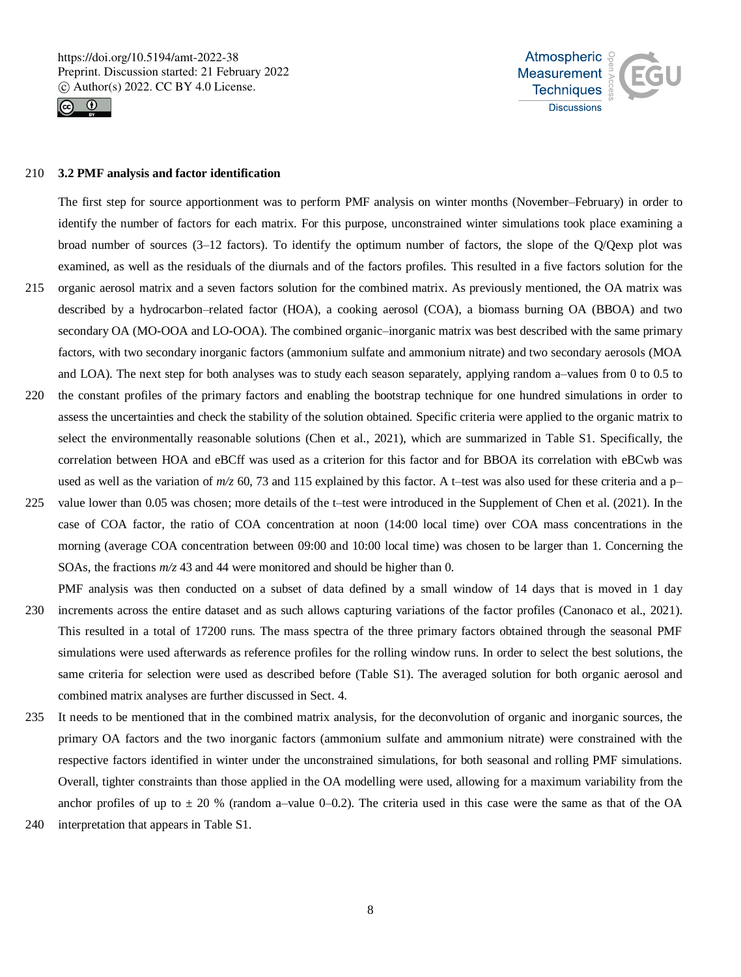



#### 210 **3.2 PMF analysis and factor identification**

The first step for source apportionment was to perform PMF analysis on winter months (November–February) in order to identify the number of factors for each matrix. For this purpose, unconstrained winter simulations took place examining a broad number of sources (3–12 factors). To identify the optimum number of factors, the slope of the Q/Qexp plot was examined, as well as the residuals of the diurnals and of the factors profiles. This resulted in a five factors solution for the

- 215 organic aerosol matrix and a seven factors solution for the combined matrix. As previously mentioned, the OA matrix was described by a hydrocarbon–related factor (HOA), a cooking aerosol (COA), a biomass burning OA (BBOA) and two secondary OA (MO-OOA and LO-OOA). The combined organic–inorganic matrix was best described with the same primary factors, with two secondary inorganic factors (ammonium sulfate and ammonium nitrate) and two secondary aerosols (MOA and LOA). The next step for both analyses was to study each season separately, applying random a–values from 0 to 0.5 to
- 220 the constant profiles of the primary factors and enabling the bootstrap technique for one hundred simulations in order to assess the uncertainties and check the stability of the solution obtained. Specific criteria were applied to the organic matrix to select the environmentally reasonable solutions (Chen et al., 2021), which are summarized in Table S1. Specifically, the correlation between HOA and eBCff was used as a criterion for this factor and for BBOA its correlation with eBCwb was used as well as the variation of  $m/z$  60, 73 and 115 explained by this factor. A t–test was also used for these criteria and a p–
- 225 value lower than 0.05 was chosen; more details of the t–test were introduced in the Supplement of Chen et al. (2021). In the case of COA factor, the ratio of COA concentration at noon (14:00 local time) over COA mass concentrations in the morning (average COA concentration between 09:00 and 10:00 local time) was chosen to be larger than 1. Concerning the SOAs, the fractions *m/z* 43 and 44 were monitored and should be higher than 0.

PMF analysis was then conducted on a subset of data defined by a small window of 14 days that is moved in 1 day 230 increments across the entire dataset and as such allows capturing variations of the factor profiles (Canonaco et al., 2021).

- This resulted in a total of 17200 runs. The mass spectra of the three primary factors obtained through the seasonal PMF simulations were used afterwards as reference profiles for the rolling window runs. In order to select the best solutions, the same criteria for selection were used as described before (Table S1). The averaged solution for both organic aerosol and combined matrix analyses are further discussed in Sect. 4.
- 235 It needs to be mentioned that in the combined matrix analysis, for the deconvolution of organic and inorganic sources, the primary OA factors and the two inorganic factors (ammonium sulfate and ammonium nitrate) were constrained with the respective factors identified in winter under the unconstrained simulations, for both seasonal and rolling PMF simulations. Overall, tighter constraints than those applied in the OA modelling were used, allowing for a maximum variability from the anchor profiles of up to  $\pm$  20 % (random a–value 0–0.2). The criteria used in this case were the same as that of the OA
- 240 interpretation that appears in Table S1.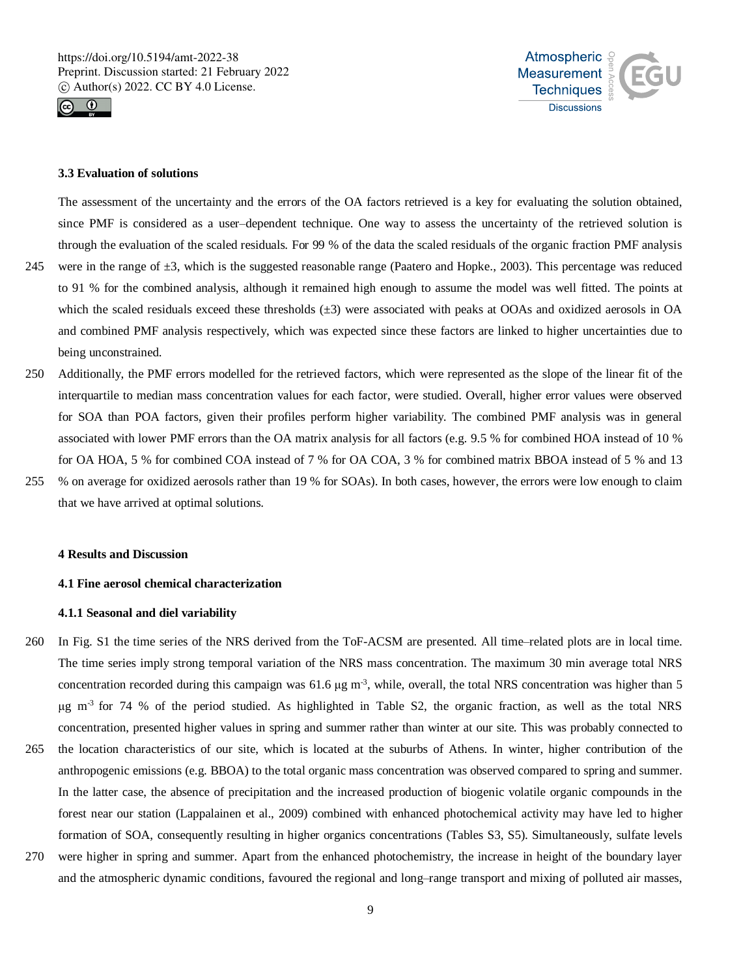



# **3.3 Evaluation of solutions**

The assessment of the uncertainty and the errors of the OA factors retrieved is a key for evaluating the solution obtained, since PMF is considered as a user–dependent technique. One way to assess the uncertainty of the retrieved solution is through the evaluation of the scaled residuals. For 99 % of the data the scaled residuals of the organic fraction PMF analysis

- 245 were in the range of  $\pm 3$ , which is the suggested reasonable range (Paatero and Hopke., 2003). This percentage was reduced to 91 % for the combined analysis, although it remained high enough to assume the model was well fitted. The points at which the scaled residuals exceed these thresholds  $(\pm 3)$  were associated with peaks at OOAs and oxidized aerosols in OA and combined PMF analysis respectively, which was expected since these factors are linked to higher uncertainties due to being unconstrained.
- 250 Additionally, the PMF errors modelled for the retrieved factors, which were represented as the slope of the linear fit of the interquartile to median mass concentration values for each factor, were studied. Overall, higher error values were observed for SOA than POA factors, given their profiles perform higher variability. The combined PMF analysis was in general associated with lower PMF errors than the OA matrix analysis for all factors (e.g. 9.5 % for combined HOA instead of 10 % for OA HOA, 5 % for combined COA instead of 7 % for OA COA, 3 % for combined matrix BBOA instead of 5 % and 13
- 255 % on average for oxidized aerosols rather than 19 % for SOAs). In both cases, however, the errors were low enough to claim that we have arrived at optimal solutions.

## **4 Results and Discussion**

# **4.1 Fine aerosol chemical characterization**

# **4.1.1 Seasonal and diel variability**

- 260 In Fig. S1 the time series of the NRS derived from the ToF-ACSM are presented. All time–related plots are in local time. The time series imply strong temporal variation of the NRS mass concentration. The maximum 30 min average total NRS concentration recorded during this campaign was 61.6 μg m<sup>-3</sup>, while, overall, the total NRS concentration was higher than 5 μg m-3 for 74 % of the period studied. As highlighted in Table S2, the organic fraction, as well as the total NRS concentration, presented higher values in spring and summer rather than winter at our site. This was probably connected to
- 265 the location characteristics of our site, which is located at the suburbs of Athens. In winter, higher contribution of the anthropogenic emissions (e.g. BBOA) to the total organic mass concentration was observed compared to spring and summer. In the latter case, the absence of precipitation and the increased production of biogenic volatile organic compounds in the forest near our station (Lappalainen et al., 2009) combined with enhanced photochemical activity may have led to higher formation of SOA, consequently resulting in higher organics concentrations (Tables S3, S5). Simultaneously, sulfate levels
- 270 were higher in spring and summer. Apart from the enhanced photochemistry, the increase in height of the boundary layer and the atmospheric dynamic conditions, favoured the regional and long–range transport and mixing of polluted air masses,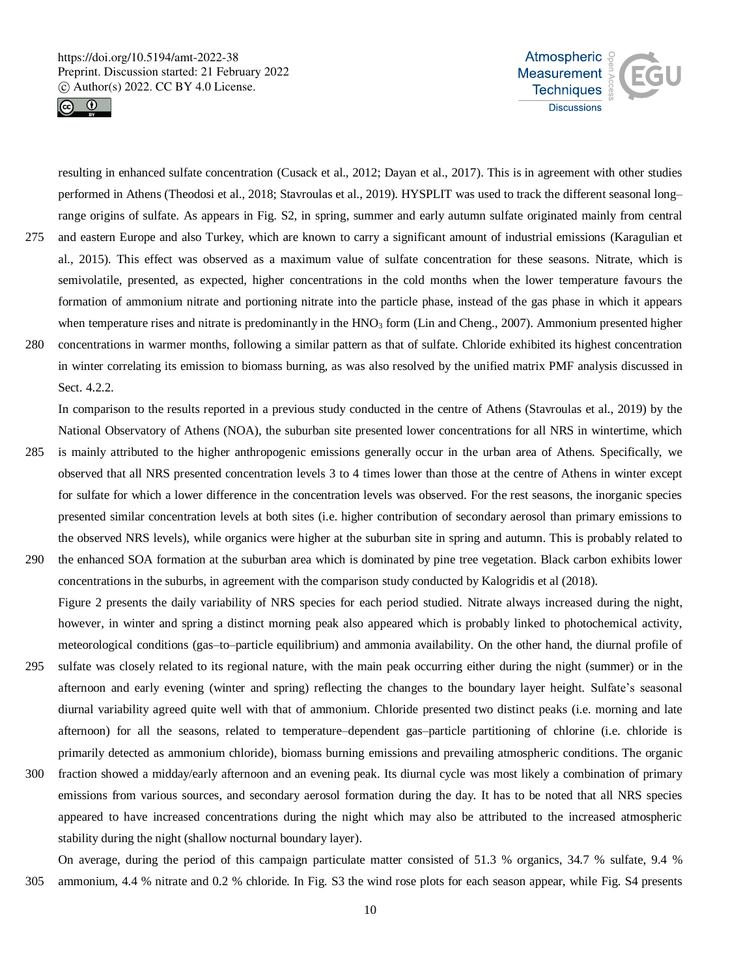

Sect. 4.2.2.



resulting in enhanced sulfate concentration (Cusack et al., 2012; Dayan et al., 2017). This is in agreement with other studies performed in Athens (Theodosi et al., 2018; Stavroulas et al., 2019). HYSPLIT was used to track the different seasonal long– range origins of sulfate. As appears in Fig. S2, in spring, summer and early autumn sulfate originated mainly from central 275 and eastern Europe and also Turkey, which are known to carry a significant amount of industrial emissions (Karagulian et al., 2015). This effect was observed as a maximum value of sulfate concentration for these seasons. Nitrate, which is semivolatile, presented, as expected, higher concentrations in the cold months when the lower temperature favours the formation of ammonium nitrate and portioning nitrate into the particle phase, instead of the gas phase in which it appears when temperature rises and nitrate is predominantly in the HNO<sub>3</sub> form (Lin and Cheng., 2007). Ammonium presented higher 280 concentrations in warmer months, following a similar pattern as that of sulfate. Chloride exhibited its highest concentration in winter correlating its emission to biomass burning, as was also resolved by the unified matrix PMF analysis discussed in

In comparison to the results reported in a previous study conducted in the centre of Athens (Stavroulas et al., 2019) by the National Observatory of Athens (NOA), the suburban site presented lower concentrations for all NRS in wintertime, which

- 285 is mainly attributed to the higher anthropogenic emissions generally occur in the urban area of Athens. Specifically, we observed that all NRS presented concentration levels 3 to 4 times lower than those at the centre of Athens in winter except for sulfate for which a lower difference in the concentration levels was observed. For the rest seasons, the inorganic species presented similar concentration levels at both sites (i.e. higher contribution of secondary aerosol than primary emissions to the observed NRS levels), while organics were higher at the suburban site in spring and autumn. This is probably related to
- 290 the enhanced SOA formation at the suburban area which is dominated by pine tree vegetation. Black carbon exhibits lower concentrations in the suburbs, in agreement with the comparison study conducted by Kalogridis et al (2018). Figure 2 presents the daily variability of NRS species for each period studied. Nitrate always increased during the night, however, in winter and spring a distinct morning peak also appeared which is probably linked to photochemical activity, meteorological conditions (gas–to–particle equilibrium) and ammonia availability. On the other hand, the diurnal profile of
- 295 sulfate was closely related to its regional nature, with the main peak occurring either during the night (summer) or in the afternoon and early evening (winter and spring) reflecting the changes to the boundary layer height. Sulfate's seasonal diurnal variability agreed quite well with that of ammonium. Chloride presented two distinct peaks (i.e. morning and late afternoon) for all the seasons, related to temperature–dependent gas–particle partitioning of chlorine (i.e. chloride is primarily detected as ammonium chloride), biomass burning emissions and prevailing atmospheric conditions. The organic
- 300 fraction showed a midday/early afternoon and an evening peak. Its diurnal cycle was most likely a combination of primary emissions from various sources, and secondary aerosol formation during the day. It has to be noted that all NRS species appeared to have increased concentrations during the night which may also be attributed to the increased atmospheric stability during the night (shallow nocturnal boundary layer).

On average, during the period of this campaign particulate matter consisted of 51.3 % organics, 34.7 % sulfate, 9.4 % 305 ammonium, 4.4 % nitrate and 0.2 % chloride. In Fig. S3 the wind rose plots for each season appear, while Fig. S4 presents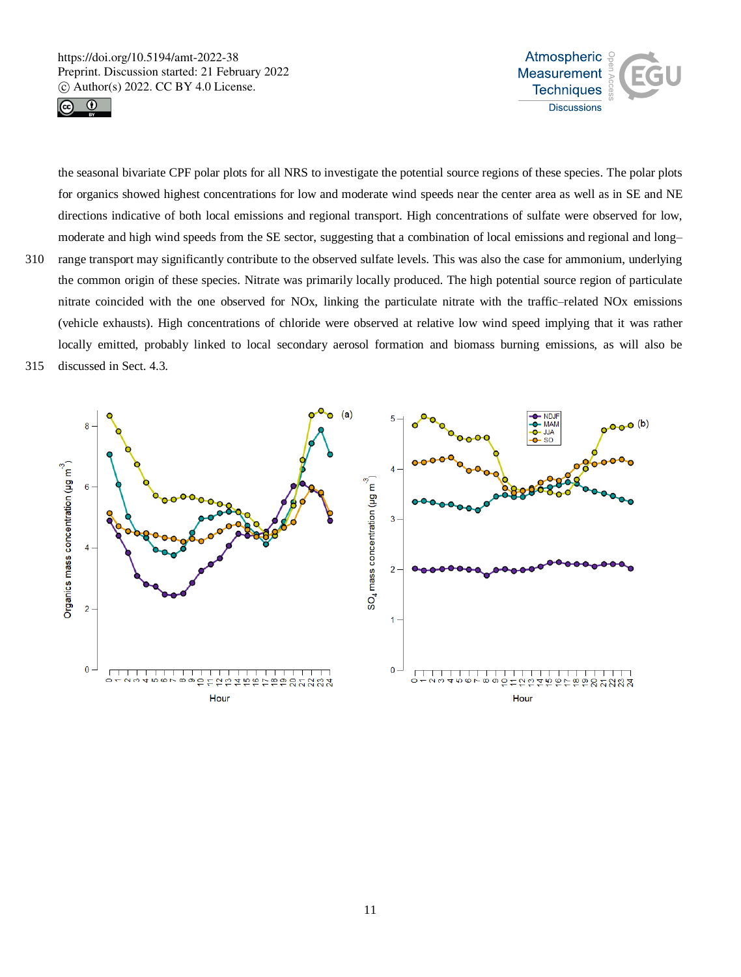



the seasonal bivariate CPF polar plots for all NRS to investigate the potential source regions of these species. The polar plots for organics showed highest concentrations for low and moderate wind speeds near the center area as well as in SE and NE directions indicative of both local emissions and regional transport. High concentrations of sulfate were observed for low, moderate and high wind speeds from the SE sector, suggesting that a combination of local emissions and regional and long– 310 range transport may significantly contribute to the observed sulfate levels. This was also the case for ammonium, underlying the common origin of these species. Nitrate was primarily locally produced. The high potential source region of particulate nitrate coincided with the one observed for NOx, linking the particulate nitrate with the traffic–related NOx emissions

(vehicle exhausts). High concentrations of chloride were observed at relative low wind speed implying that it was rather locally emitted, probably linked to local secondary aerosol formation and biomass burning emissions, as will also be

315 discussed in Sect. 4.3.

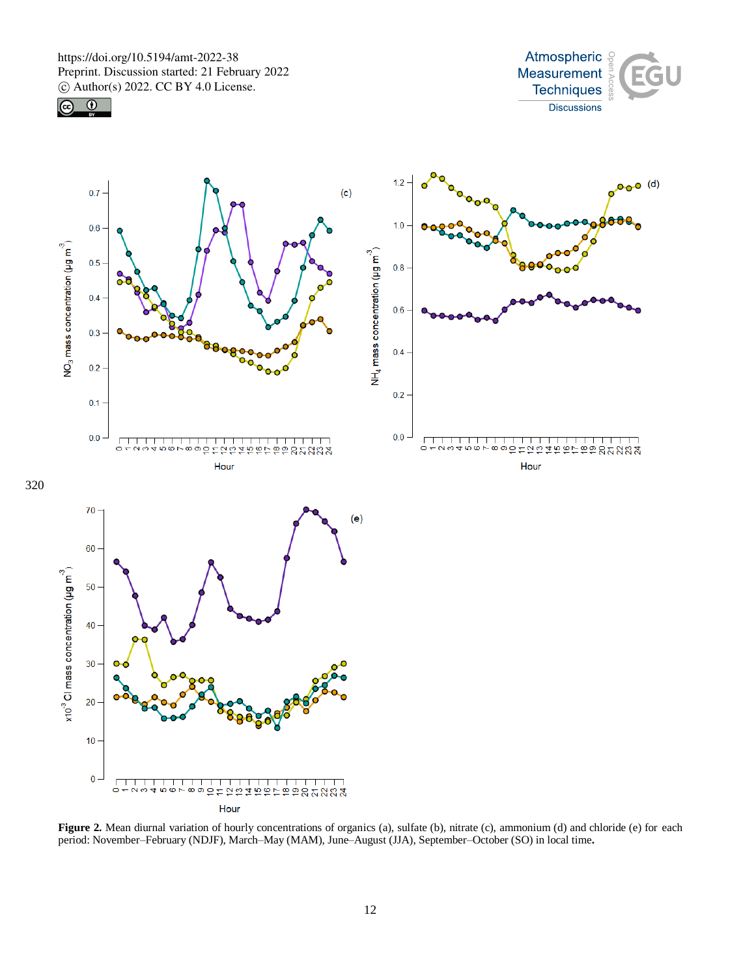

 $\overline{\mathcal{C}}$ 





**Figure 2.** Mean diurnal variation of hourly concentrations of organics (a), sulfate (b), nitrate (c), ammonium (d) and chloride (e) for each period: November–February (NDJF), March–May (MAM), June–August (JJA), September–October (SO) in local time**.**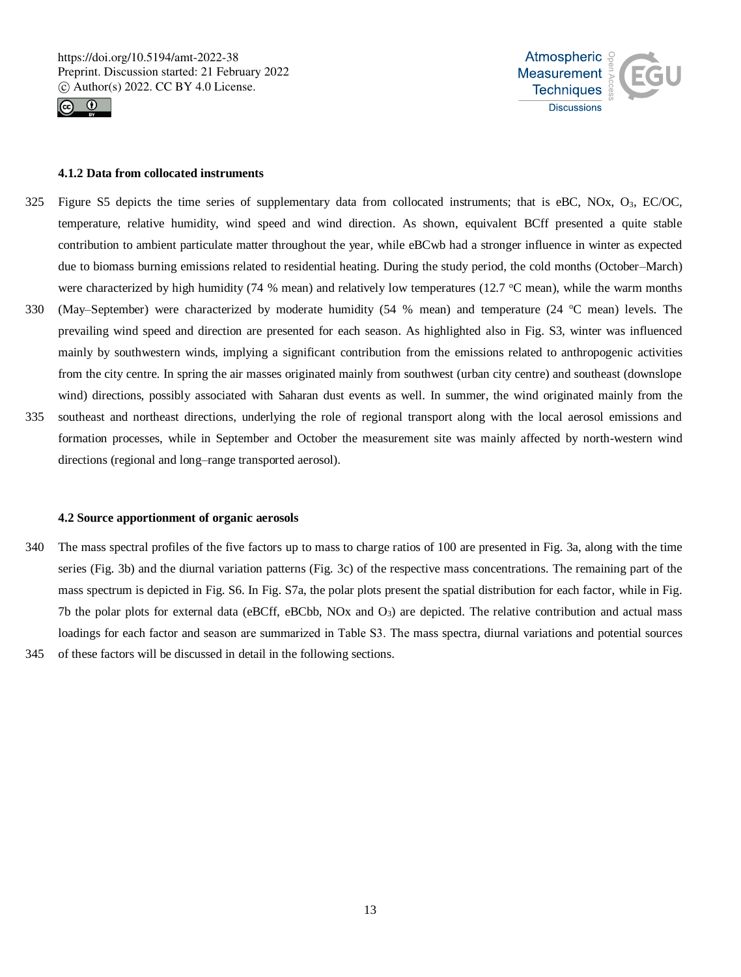



#### **4.1.2 Data from collocated instruments**

- 325 Figure S5 depicts the time series of supplementary data from collocated instruments; that is eBC, NOx, O3, EC/OC, temperature, relative humidity, wind speed and wind direction. As shown, equivalent BCff presented a quite stable contribution to ambient particulate matter throughout the year, while eBCwb had a stronger influence in winter as expected due to biomass burning emissions related to residential heating. During the study period, the cold months (October–March) were characterized by high humidity (74 % mean) and relatively low temperatures (12.7  $^{\circ}$ C mean), while the warm months
- 330 (May–September) were characterized by moderate humidity (54 % mean) and temperature (24  $\degree$ C mean) levels. The prevailing wind speed and direction are presented for each season. As highlighted also in Fig. S3, winter was influenced mainly by southwestern winds, implying a significant contribution from the emissions related to anthropogenic activities from the city centre. In spring the air masses originated mainly from southwest (urban city centre) and southeast (downslope wind) directions, possibly associated with Saharan dust events as well. In summer, the wind originated mainly from the
- 335 southeast and northeast directions, underlying the role of regional transport along with the local aerosol emissions and formation processes, while in September and October the measurement site was mainly affected by north-western wind directions (regional and long–range transported aerosol).

#### **4.2 Source apportionment of organic aerosols**

340 The mass spectral profiles of the five factors up to mass to charge ratios of 100 are presented in Fig. 3a, along with the time series (Fig. 3b) and the diurnal variation patterns (Fig. 3c) of the respective mass concentrations. The remaining part of the mass spectrum is depicted in Fig. S6. In Fig. S7a, the polar plots present the spatial distribution for each factor, while in Fig. 7b the polar plots for external data (eBCff, eBCbb, NOx and  $O<sub>3</sub>$ ) are depicted. The relative contribution and actual mass loadings for each factor and season are summarized in Table S3. Τhe mass spectra, diurnal variations and potential sources 345 of these factors will be discussed in detail in the following sections.

13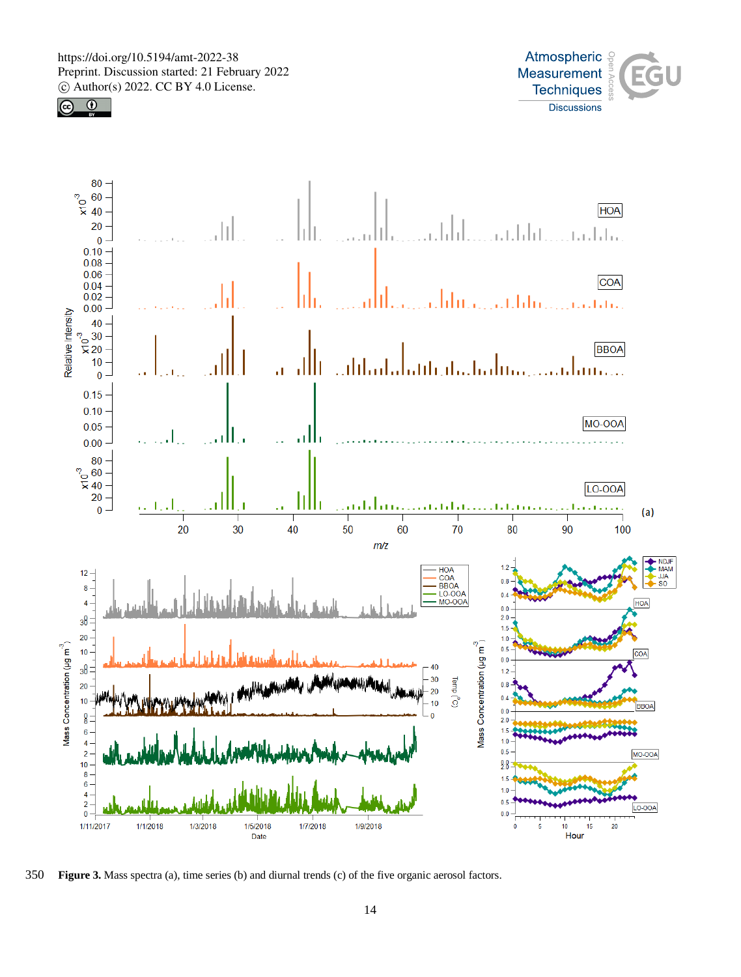





350 **Figure 3.** Mass spectra (a), time series (b) and diurnal trends (c) of the five organic aerosol factors.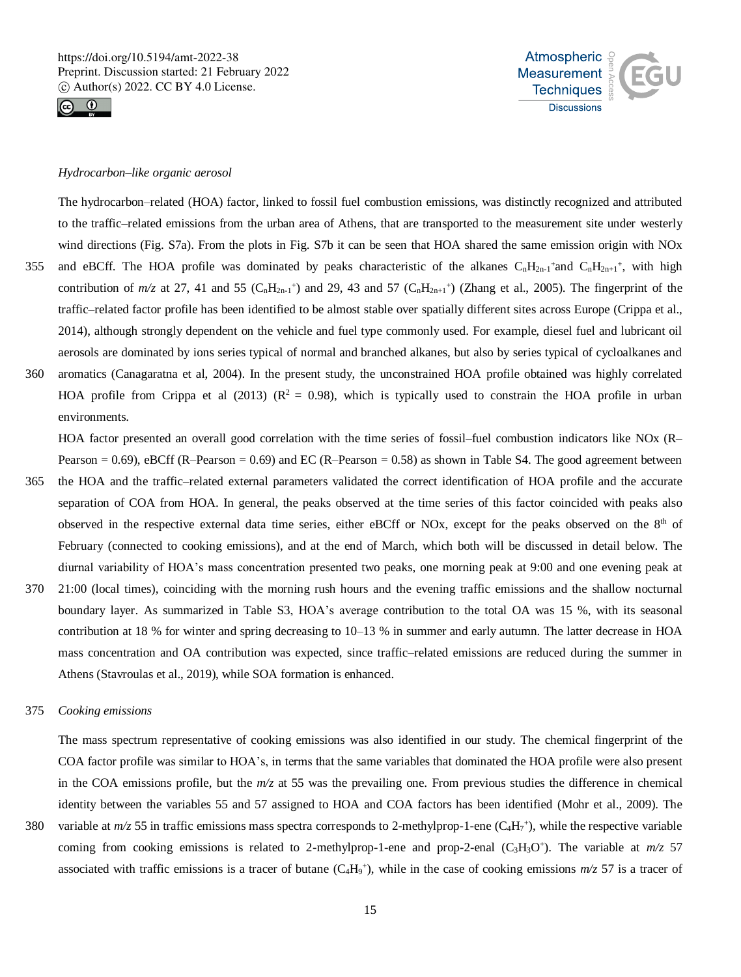



## *Hydrocarbon–like organic aerosol*

The hydrocarbon–related (HOA) factor, linked to fossil fuel combustion emissions, was distinctly recognized and attributed to the traffic–related emissions from the urban area of Athens, that are transported to the measurement site under westerly wind directions (Fig. S7a). From the plots in Fig. S7b it can be seen that HOA shared the same emission origin with NOx 355 and eBCff. The HOA profile was dominated by peaks characteristic of the alkanes  $C_nH_{2n-1}$ <sup>+</sup>and  $C_nH_{2n+1}$ <sup>+</sup>, with high contribution of  $m/z$  at 27, 41 and 55 (C<sub>n</sub>H<sub>2n-1</sub><sup>+</sup>) and 29, 43 and 57 (C<sub>n</sub>H<sub>2n+1</sub><sup>+</sup>) (Zhang et al., 2005). The fingerprint of the traffic–related factor profile has been identified to be almost stable over spatially different sites across Europe (Crippa et al., 2014), although strongly dependent on the vehicle and fuel type commonly used. For example, diesel fuel and lubricant oil

aerosols are dominated by ions series typical of normal and branched alkanes, but also by series typical of cycloalkanes and 360 aromatics (Canagaratna et al, 2004). In the present study, the unconstrained HOA profile obtained was highly correlated HOA profile from Crippa et al (2013) ( $\mathbb{R}^2 = 0.98$ ), which is typically used to constrain the HOA profile in urban environments.

HOA factor presented an overall good correlation with the time series of fossil–fuel combustion indicators like NOx (R– Pearson =  $0.69$ ), eBCff (R–Pearson =  $0.69$ ) and EC (R–Pearson =  $0.58$ ) as shown in Table S4. The good agreement between

- 365 the HOA and the traffic–related external parameters validated the correct identification of HOA profile and the accurate separation of COA from HOA. In general, the peaks observed at the time series of this factor coincided with peaks also observed in the respective external data time series, either eBCff or NOx, except for the peaks observed on the  $8<sup>th</sup>$  of February (connected to cooking emissions), and at the end of March, which both will be discussed in detail below. The diurnal variability of HOA's mass concentration presented two peaks, one morning peak at 9:00 and one evening peak at
- 370 21:00 (local times), coinciding with the morning rush hours and the evening traffic emissions and the shallow nocturnal boundary layer. As summarized in Table S3, HOA's average contribution to the total OA was 15 %, with its seasonal contribution at 18 % for winter and spring decreasing to 10–13 % in summer and early autumn. The latter decrease in HOA mass concentration and OA contribution was expected, since traffic–related emissions are reduced during the summer in Athens (Stavroulas et al., 2019), while SOA formation is enhanced.

# 375 *Cooking emissions*

The mass spectrum representative of cooking emissions was also identified in our study. The chemical fingerprint of the COA factor profile was similar to HOA's, in terms that the same variables that dominated the HOA profile were also present in the COA emissions profile, but the *m/z* at 55 was the prevailing one. From previous studies the difference in chemical identity between the variables 55 and 57 assigned to HOA and COA factors has been identified (Mohr et al., 2009). The

380 variable at  $m/z$  55 in traffic emissions mass spectra corresponds to 2-methylprop-1-ene  $(C_4H_7^+)$ , while the respective variable coming from cooking emissions is related to 2-methylprop-1-ene and prop-2-enal  $(C_3H_3O^*)$ . The variable at  $m/z$  57 associated with traffic emissions is a tracer of butane  $(C_4H_9^+)$ , while in the case of cooking emissions  $m/z$  57 is a tracer of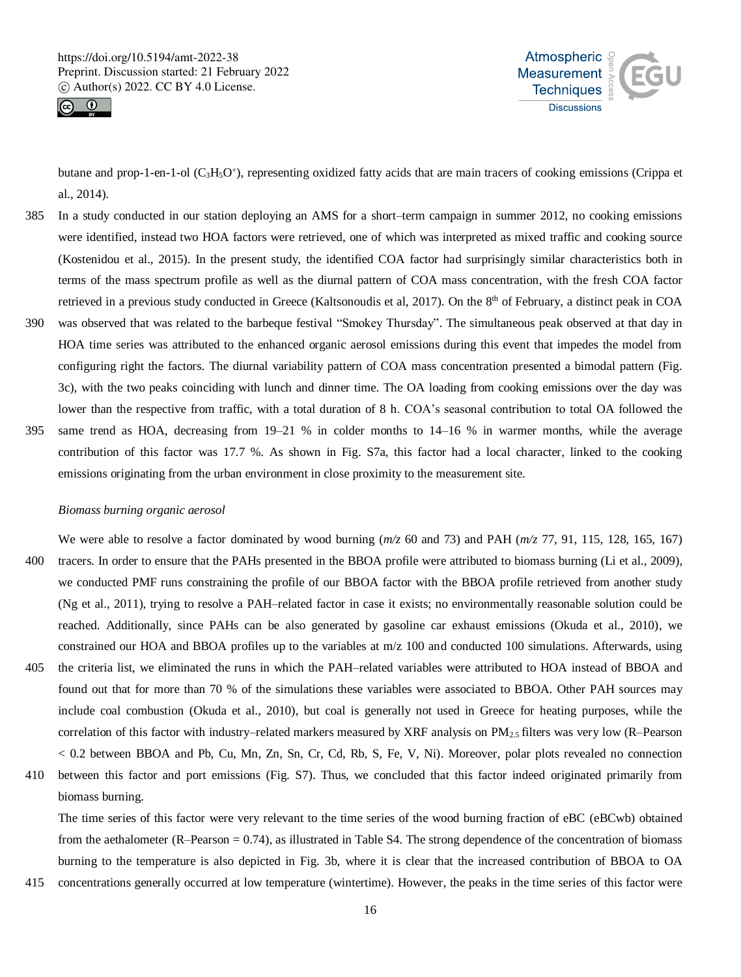



butane and prop-1-en-1-ol (C<sub>3</sub>H<sub>5</sub>O<sup>+</sup>), representing oxidized fatty acids that are main tracers of cooking emissions (Crippa et al., 2014).

- 385 In a study conducted in our station deploying an AMS for a short–term campaign in summer 2012, no cooking emissions were identified, instead two HOA factors were retrieved, one of which was interpreted as mixed traffic and cooking source (Kostenidou et al., 2015). In the present study, the identified COA factor had surprisingly similar characteristics both in terms of the mass spectrum profile as well as the diurnal pattern of COA mass concentration, with the fresh COA factor retrieved in a previous study conducted in Greece (Kaltsonoudis et al, 2017). On the 8<sup>th</sup> of February, a distinct peak in COA
- 390 was observed that was related to the barbeque festival "Smokey Thursday". The simultaneous peak observed at that day in HOA time series was attributed to the enhanced organic aerosol emissions during this event that impedes the model from configuring right the factors. The diurnal variability pattern of COA mass concentration presented a bimodal pattern (Fig. 3c), with the two peaks coinciding with lunch and dinner time. The OA loading from cooking emissions over the day was lower than the respective from traffic, with a total duration of 8 h. COA's seasonal contribution to total OA followed the
- 395 same trend as HOA, decreasing from 19–21 % in colder months to 14–16 % in warmer months, while the average contribution of this factor was 17.7 %. As shown in Fig. S7a, this factor had a local character, linked to the cooking emissions originating from the urban environment in close proximity to the measurement site.

## *Biomass burning organic aerosol*

We were able to resolve a factor dominated by wood burning ( $m/z$  60 and 73) and PAH ( $m/z$  77, 91, 115, 128, 165, 167) 400 tracers. In order to ensure that the PAHs presented in the BBOA profile were attributed to biomass burning (Li et al., 2009), we conducted PMF runs constraining the profile of our BBOA factor with the BBOA profile retrieved from another study (Ng et al., 2011), trying to resolve a PAH–related factor in case it exists; no environmentally reasonable solution could be reached. Additionally, since PAHs can be also generated by gasoline car exhaust emissions (Okuda et al., 2010), we constrained our HOA and BBOA profiles up to the variables at m/z 100 and conducted 100 simulations. Afterwards, using

- 405 the criteria list, we eliminated the runs in which the PAH–related variables were attributed to HOA instead of BBOA and found out that for more than 70 % of the simulations these variables were associated to BBOA. Other PAH sources may include coal combustion (Okuda et al., 2010), but coal is generally not used in Greece for heating purposes, while the correlation of this factor with industry–related markers measured by XRF analysis on  $PM_{2.5}$  filters was very low (R–Pearson < 0.2 between BBOA and Pb, Cu, Mn, Zn, Sn, Cr, Cd, Rb, S, Fe, V, Ni). Moreover, polar plots revealed no connection
- 410 between this factor and port emissions (Fig. S7). Thus, we concluded that this factor indeed originated primarily from biomass burning.

The time series of this factor were very relevant to the time series of the wood burning fraction of eBC (eBCwb) obtained from the aethalometer (R–Pearson = 0.74), as illustrated in Table S4. The strong dependence of the concentration of biomass burning to the temperature is also depicted in Fig. 3b, where it is clear that the increased contribution of BBOA to OA

415 concentrations generally occurred at low temperature (wintertime). However, the peaks in the time series of this factor were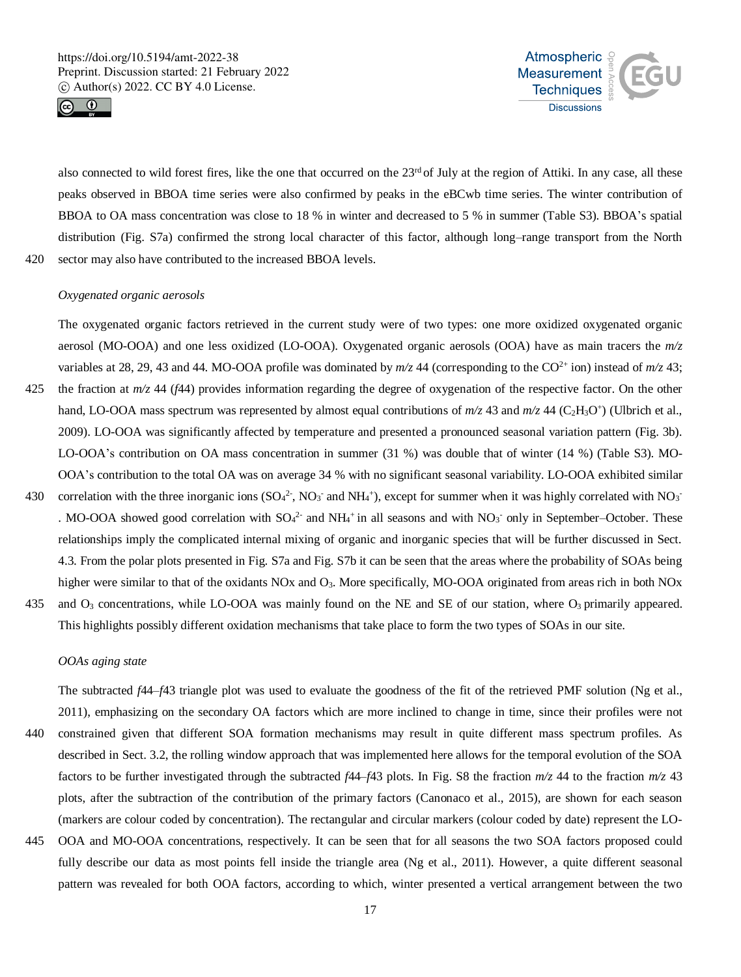



also connected to wild forest fires, like the one that occurred on the 23<sup>rd</sup> of July at the region of Attiki. In any case, all these peaks observed in BBOA time series were also confirmed by peaks in the eBCwb time series. The winter contribution of BBOA to OA mass concentration was close to 18 % in winter and decreased to 5 % in summer (Table S3). BBOA's spatial distribution (Fig. S7a) confirmed the strong local character of this factor, although long–range transport from the North 420 sector may also have contributed to the increased BBOA levels.

# *Oxygenated organic aerosols*

The oxygenated organic factors retrieved in the current study were of two types: one more oxidized oxygenated organic aerosol (MO-OOA) and one less oxidized (LO-OOA). Oxygenated organic aerosols (OOA) have as main tracers the *m/z* variables at 28, 29, 43 and 44. MO-OOA profile was dominated by  $m/z$  44 (corresponding to the CO<sup>2+</sup> ion) instead of  $m/z$  43;

- 425 the fraction at *m/z* 44 (*f*44) provides information regarding the degree of oxygenation of the respective factor. On the other hand, LO-OOA mass spectrum was represented by almost equal contributions of  $m/z$  43 and  $m/z$  44 (C<sub>2</sub>H<sub>3</sub>O<sup>+</sup>) (Ulbrich et al., 2009). LO-OOA was significantly affected by temperature and presented a pronounced seasonal variation pattern (Fig. 3b). LO-OOA's contribution on OA mass concentration in summer (31 %) was double that of winter (14 %) (Table S3). MO-OOA's contribution to the total OA was on average 34 % with no significant seasonal variability. LO-OOA exhibited similar
- 430 correlation with the three inorganic ions  $(SO_4^2$ , NO<sub>3</sub> and NH<sub>4</sub><sup>+</sup>), except for summer when it was highly correlated with NO<sub>3</sub> . MO-OOA showed good correlation with  $SO_4^2$  and  $NH_4^+$  in all seasons and with  $NO_3^-$  only in September–October. These relationships imply the complicated internal mixing of organic and inorganic species that will be further discussed in Sect. 4.3. From the polar plots presented in Fig. S7a and Fig. S7b it can be seen that the areas where the probability of SOAs being higher were similar to that of the oxidants NOx and O<sub>3</sub>. More specifically, MO-OOA originated from areas rich in both NOx
- 435 and  $O_3$  concentrations, while LO-OOA was mainly found on the NE and SE of our station, where  $O_3$  primarily appeared. This highlights possibly different oxidation mechanisms that take place to form the two types of SOAs in our site.

# *OOAs aging state*

The subtracted *f*44–*f*43 triangle plot was used to evaluate the goodness of the fit of the retrieved PMF solution (Ng et al., 2011), emphasizing on the secondary OA factors which are more inclined to change in time, since their profiles were not 440 constrained given that different SOA formation mechanisms may result in quite different mass spectrum profiles. As

- described in Sect. 3.2, the rolling window approach that was implemented here allows for the temporal evolution of the SOA factors to be further investigated through the subtracted *f*44–*f*43 plots. In Fig. S8 the fraction *m/z* 44 to the fraction *m/z* 43 plots, after the subtraction of the contribution of the primary factors (Canonaco et al., 2015), are shown for each season (markers are colour coded by concentration). The rectangular and circular markers (colour coded by date) represent the LO-
- 445 OOA and MO-OOA concentrations, respectively. It can be seen that for all seasons the two SOA factors proposed could fully describe our data as most points fell inside the triangle area (Ng et al., 2011). However, a quite different seasonal pattern was revealed for both OOA factors, according to which, winter presented a vertical arrangement between the two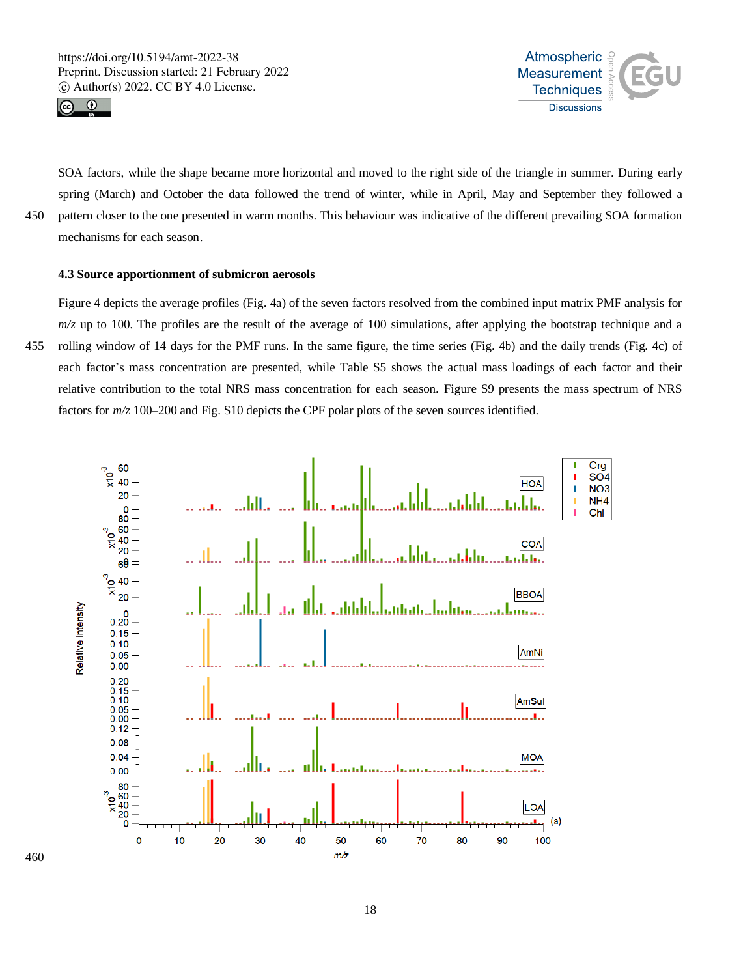



SOA factors, while the shape became more horizontal and moved to the right side of the triangle in summer. During early spring (March) and October the data followed the trend of winter, while in April, May and September they followed a 450 pattern closer to the one presented in warm months. This behaviour was indicative of the different prevailing SOA formation mechanisms for each season.

# **4.3 Source apportionment of submicron aerosols**

Figure 4 depicts the average profiles (Fig. 4a) of the seven factors resolved from the combined input matrix PMF analysis for  $m/z$  up to 100. The profiles are the result of the average of 100 simulations, after applying the bootstrap technique and a 455 rolling window of 14 days for the PMF runs. In the same figure, the time series (Fig. 4b) and the daily trends (Fig. 4c) of each factor's mass concentration are presented, while Table S5 shows the actual mass loadings of each factor and their relative contribution to the total NRS mass concentration for each season. Figure S9 presents the mass spectrum of NRS factors for *m/z* 100–200 and Fig. S10 depicts the CPF polar plots of the seven sources identified.

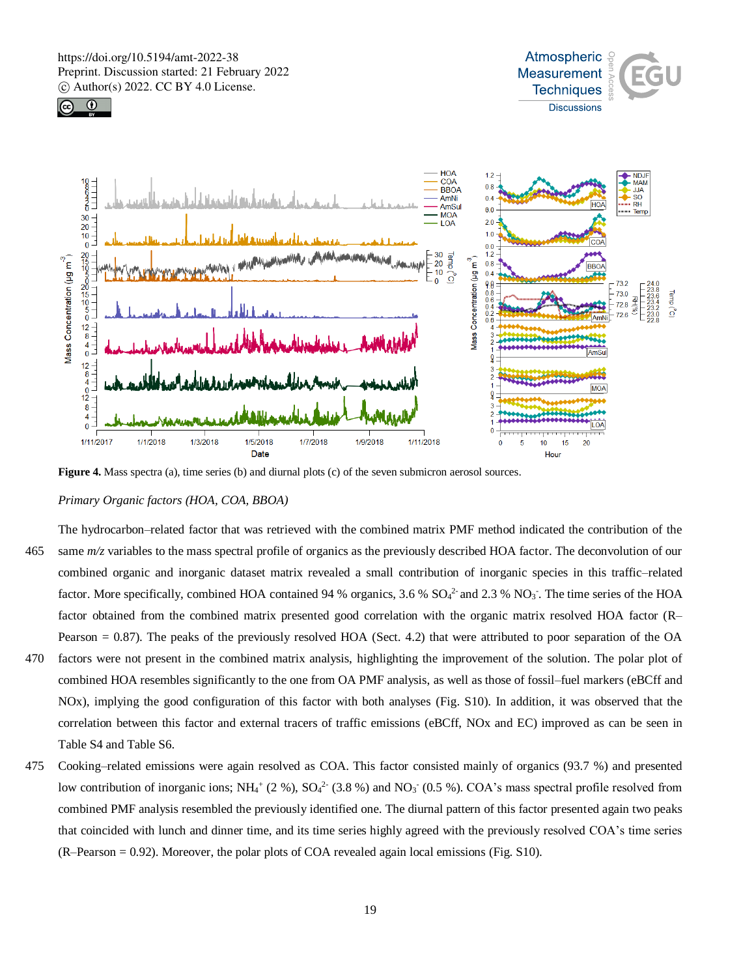





**Figure 4.** Mass spectra (a), time series (b) and diurnal plots (c) of the seven submicron aerosol sources.

# *Primary Organic factors (HOA, COA, BBOA)*

The hydrocarbon–related factor that was retrieved with the combined matrix PMF method indicated the contribution of the 465 same  $m/z$  variables to the mass spectral profile of organics as the previously described HOA factor. The deconvolution of our combined organic and inorganic dataset matrix revealed a small contribution of inorganic species in this traffic–related factor. More specifically, combined HOA contained 94 % organics,  $3.6$  %  $SO_4^2$  and  $2.3$  %  $NO_3$ . The time series of the HOA factor obtained from the combined matrix presented good correlation with the organic matrix resolved HOA factor (R– Pearson = 0.87). The peaks of the previously resolved HOA (Sect. 4.2) that were attributed to poor separation of the OA

- 470 factors were not present in the combined matrix analysis, highlighting the improvement of the solution. The polar plot of combined HOA resembles significantly to the one from OA PMF analysis, as well as those of fossil–fuel markers (eBCff and NOx), implying the good configuration of this factor with both analyses (Fig. S10). In addition, it was observed that the correlation between this factor and external tracers of traffic emissions (eBCff, NOx and EC) improved as can be seen in Table S4 and Table S6.
- 475 Cooking–related emissions were again resolved as COA. This factor consisted mainly of organics (93.7 %) and presented low contribution of inorganic ions;  $NH_4$ <sup>+</sup> (2 %),  $SO_4$ <sup>2</sup><sup>-</sup> (3.8 %) and  $NO_3$ <sup>-</sup> (0.5 %). COA's mass spectral profile resolved from combined PMF analysis resembled the previously identified one. The diurnal pattern of this factor presented again two peaks that coincided with lunch and dinner time, and its time series highly agreed with the previously resolved COA's time series (R–Pearson = 0.92). Moreover, the polar plots of COA revealed again local emissions (Fig. S10).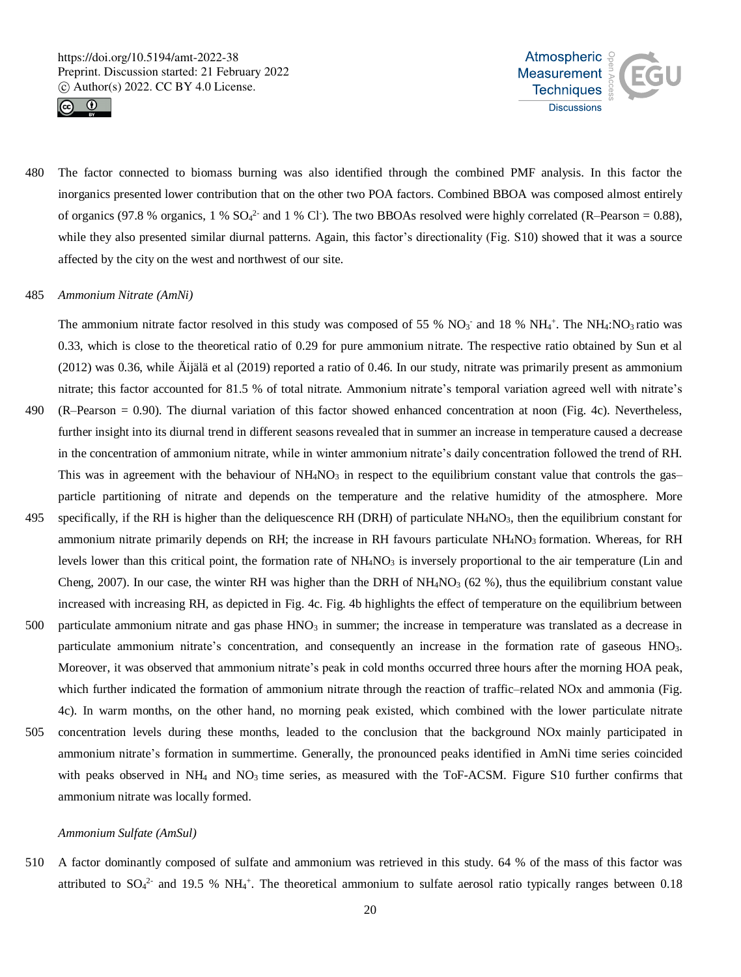



480 The factor connected to biomass burning was also identified through the combined PMF analysis. In this factor the inorganics presented lower contribution that on the other two POA factors. Combined BBOA was composed almost entirely of organics (97.8 % organics, 1 %  $SO_4^2$  and 1 % Cl m). The two BBOAs resolved were highly correlated (R–Pearson = 0.88), while they also presented similar diurnal patterns. Again, this factor's directionality (Fig. S10) showed that it was a source affected by the city on the west and northwest of our site.

# 485 *Ammonium Nitrate (AmNi)*

The ammonium nitrate factor resolved in this study was composed of 55 %  $NO_3$ <sup>-</sup> and 18 %  $NH_4$ <sup>+</sup>. The NH<sub>4</sub>:NO<sub>3</sub> ratio was 0.33, which is close to the theoretical ratio of 0.29 for pure ammonium nitrate. The respective ratio obtained by Sun et al (2012) was 0.36, while Äijälä et al (2019) reported a ratio of 0.46. In our study, nitrate was primarily present as ammonium nitrate; this factor accounted for 81.5 % of total nitrate. Ammonium nitrate's temporal variation agreed well with nitrate's

- 490 (R–Pearson = 0.90). The diurnal variation of this factor showed enhanced concentration at noon (Fig. 4c). Nevertheless, further insight into its diurnal trend in different seasons revealed that in summer an increase in temperature caused a decrease in the concentration of ammonium nitrate, while in winter ammonium nitrate's daily concentration followed the trend of RH. This was in agreement with the behaviour of  $NH<sub>4</sub>NO<sub>3</sub>$  in respect to the equilibrium constant value that controls the gas– particle partitioning of nitrate and depends on the temperature and the relative humidity of the atmosphere. More
- 495 specifically, if the RH is higher than the deliquescence RH (DRH) of particulate  $NH<sub>4</sub>NO<sub>3</sub>$ , then the equilibrium constant for ammonium nitrate primarily depends on RH; the increase in RH favours particulate  $NH<sub>4</sub>NO<sub>3</sub>$  formation. Whereas, for RH levels lower than this critical point, the formation rate of  $NH<sub>4</sub>NO<sub>3</sub>$  is inversely proportional to the air temperature (Lin and Cheng, 2007). In our case, the winter RH was higher than the DRH of  $NH_4NO_3$  (62 %), thus the equilibrium constant value increased with increasing RH, as depicted in Fig. 4c. Fig. 4b highlights the effect of temperature on the equilibrium between
- 500 particulate ammonium nitrate and gas phase  $HNO<sub>3</sub>$  in summer; the increase in temperature was translated as a decrease in particulate ammonium nitrate's concentration, and consequently an increase in the formation rate of gaseous HNO3. Moreover, it was observed that ammonium nitrate's peak in cold months occurred three hours after the morning HOA peak, which further indicated the formation of ammonium nitrate through the reaction of traffic–related NOx and ammonia (Fig. 4c). In warm months, on the other hand, no morning peak existed, which combined with the lower particulate nitrate
- 505 concentration levels during these months, leaded to the conclusion that the background NOx mainly participated in ammonium nitrate's formation in summertime. Generally, the pronounced peaks identified in AmNi time series coincided with peaks observed in NH<sub>4</sub> and NO<sub>3</sub> time series, as measured with the ToF-ACSM. Figure S10 further confirms that ammonium nitrate was locally formed.

#### *Ammonium Sulfate (AmSul)*

510 A factor dominantly composed of sulfate and ammonium was retrieved in this study. 64 % of the mass of this factor was attributed to  $SO_4^2$  and 19.5 % NH<sub>4</sub><sup>+</sup>. The theoretical ammonium to sulfate aerosol ratio typically ranges between 0.18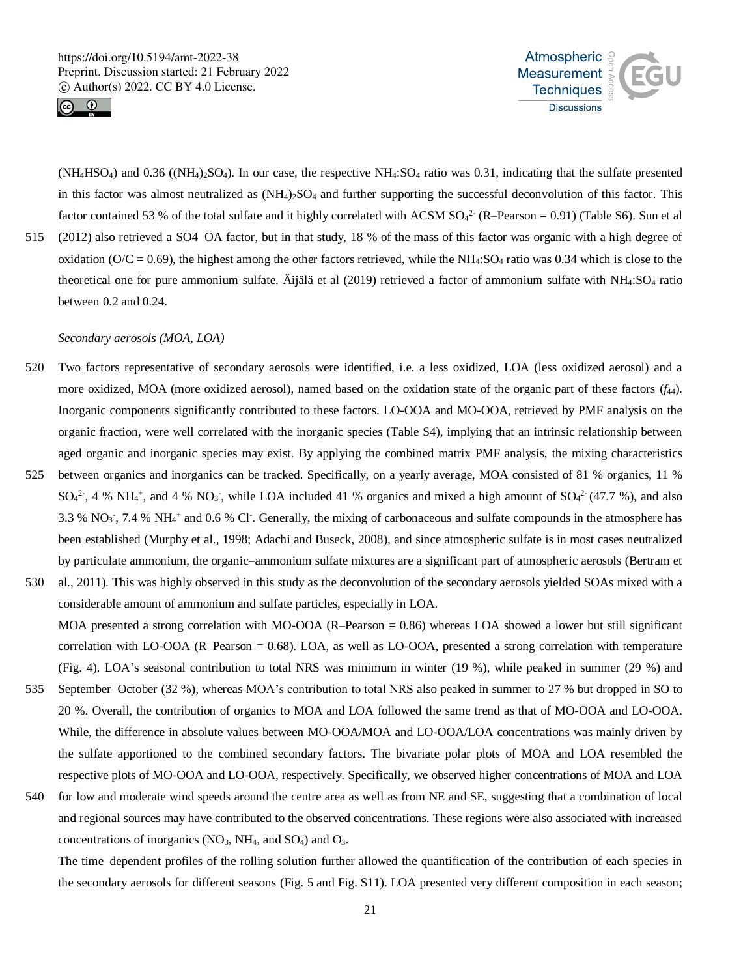



 $(NH_4HSO_4)$  and 0.36  $((NH_4)_2SO_4)$ . In our case, the respective  $NH_4:SO_4$  ratio was 0.31, indicating that the sulfate presented in this factor was almost neutralized as  $(NH<sub>4</sub>)<sub>2</sub>SO<sub>4</sub>$  and further supporting the successful deconvolution of this factor. This factor contained 53 % of the total sulfate and it highly correlated with ACSM  $SO_4^{2-}$  (R-Pearson = 0.91) (Table S6). Sun et al 515 (2012) also retrieved a SO4–OA factor, but in that study, 18 % of the mass of this factor was organic with a high degree of oxidation ( $O/C = 0.69$ ), the highest among the other factors retrieved, while the NH<sub>4</sub>:SO<sub>4</sub> ratio was 0.34 which is close to the theoretical one for pure ammonium sulfate. Äijälä et al (2019) retrieved a factor of ammonium sulfate with NH4:SO<sup>4</sup> ratio between 0.2 and 0.24.

# *Secondary aerosols (MOA, LOA)*

- 520 Two factors representative of secondary aerosols were identified, i.e. a less oxidized, LOA (less oxidized aerosol) and a more oxidized, MOA (more oxidized aerosol), named based on the oxidation state of the organic part of these factors (*f*44). Inorganic components significantly contributed to these factors. LO-OOA and MO-OOA, retrieved by PMF analysis on the organic fraction, were well correlated with the inorganic species (Table S4), implying that an intrinsic relationship between aged organic and inorganic species may exist. By applying the combined matrix PMF analysis, the mixing characteristics
- 525 between organics and inorganics can be tracked. Specifically, on a yearly average, MOA consisted of 81 % organics, 11 %  $SO_4^2$ , 4 % NH<sub>4</sub><sup>+</sup>, and 4 % NO<sub>3</sub><sup>-</sup>, while LOA included 41 % organics and mixed a high amount of  $SO_4^2$ <sup>-</sup> (47.7 %), and also 3.3 %  $NO_3$ , 7.4 %  $NH_4$ <sup>+</sup> and 0.6 % Cl<sup>-</sup>. Generally, the mixing of carbonaceous and sulfate compounds in the atmosphere has been established (Murphy et al., 1998; Adachi and Buseck, 2008), and since atmospheric sulfate is in most cases neutralized by particulate ammonium, the organic–ammonium sulfate mixtures are a significant part of atmospheric aerosols (Bertram et
- 530 al., 2011). This was highly observed in this study as the deconvolution of the secondary aerosols yielded SOAs mixed with a considerable amount of ammonium and sulfate particles, especially in LOA. MOA presented a strong correlation with MO-OOA (R–Pearson = 0.86) whereas LOA showed a lower but still significant correlation with LO-OOA (R–Pearson = 0.68). LOA, as well as LO-OOA, presented a strong correlation with temperature (Fig. 4). LOA's seasonal contribution to total NRS was minimum in winter (19 %), while peaked in summer (29 %) and
- 535 September–October (32 %), whereas MOA's contribution to total NRS also peaked in summer to 27 % but dropped in SO to 20 %. Overall, the contribution of organics to MOA and LOA followed the same trend as that of MO-OOA and LO-OOA. While, the difference in absolute values between MO-OOA/MOA and LO-OOA/LOA concentrations was mainly driven by the sulfate apportioned to the combined secondary factors. The bivariate polar plots of MOA and LOA resembled the respective plots of MO-OOA and LO-OOA, respectively. Specifically, we observed higher concentrations of MOA and LOA
- 540 for low and moderate wind speeds around the centre area as well as from NE and SE, suggesting that a combination of local and regional sources may have contributed to the observed concentrations. These regions were also associated with increased concentrations of inorganics  $(NO<sub>3</sub>, NH<sub>4</sub>, and SO<sub>4</sub>)$  and  $O<sub>3</sub>$ .

The time–dependent profiles of the rolling solution further allowed the quantification of the contribution of each species in the secondary aerosols for different seasons (Fig. 5 and Fig. S11). LOA presented very different composition in each season;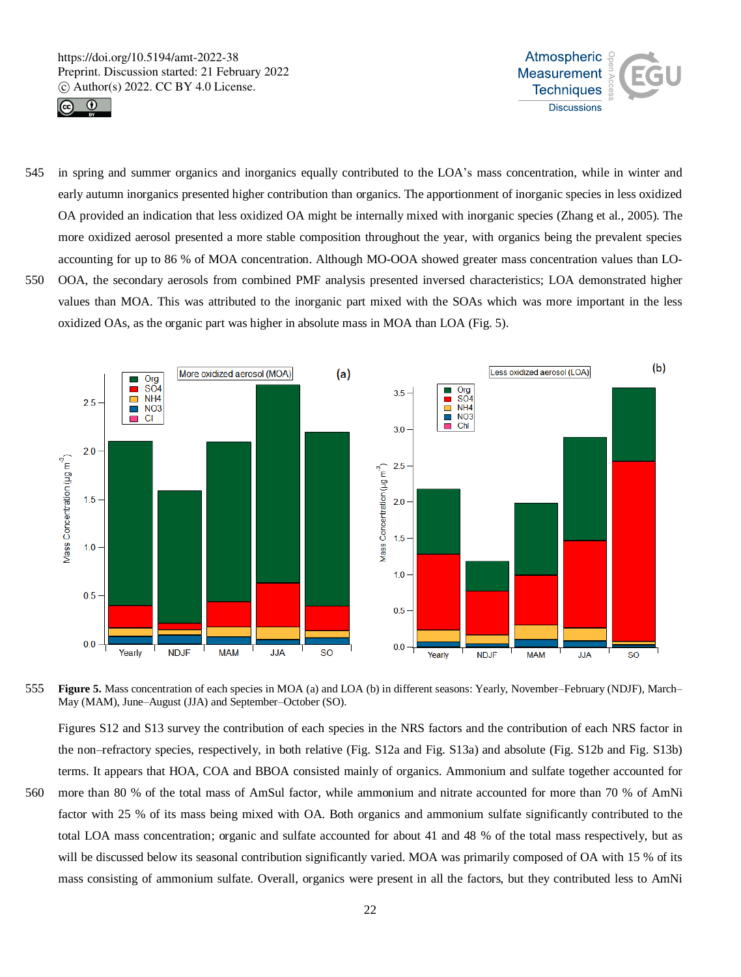



545 in spring and summer organics and inorganics equally contributed to the LOA's mass concentration, while in winter and early autumn inorganics presented higher contribution than organics. The apportionment of inorganic species in less oxidized OA provided an indication that less oxidized OA might be internally mixed with inorganic species (Zhang et al., 2005). The more oxidized aerosol presented a more stable composition throughout the year, with organics being the prevalent species accounting for up to 86 % of MOA concentration. Although MO-OOA showed greater mass concentration values than LO-550 OOA, the secondary aerosols from combined PMF analysis presented inversed characteristics; LOA demonstrated higher values than MOA. This was attributed to the inorganic part mixed with the SOAs which was more important in the less

oxidized OAs, as the organic part was higher in absolute mass in MOA than LOA (Fig. 5).



555 **Figure 5.** Mass concentration of each species in MOA (a) and LOA (b) in different seasons: Yearly, November–February (NDJF), March– May (MAM), June–August (JJA) and September–October (SO).

Figures S12 and S13 survey the contribution of each species in the NRS factors and the contribution of each NRS factor in the non–refractory species, respectively, in both relative (Fig. S12a and Fig. S13a) and absolute (Fig. S12b and Fig. S13b) terms. It appears that HOA, COA and BBOA consisted mainly of organics. Ammonium and sulfate together accounted for 560 more than 80 % of the total mass of AmSul factor, while ammonium and nitrate accounted for more than 70 % of AmNi factor with 25 % of its mass being mixed with OA. Both organics and ammonium sulfate significantly contributed to the total LOA mass concentration; organic and sulfate accounted for about 41 and 48 % of the total mass respectively, but as will be discussed below its seasonal contribution significantly varied. MOA was primarily composed of OA with 15 % of its mass consisting of ammonium sulfate. Overall, organics were present in all the factors, but they contributed less to AmNi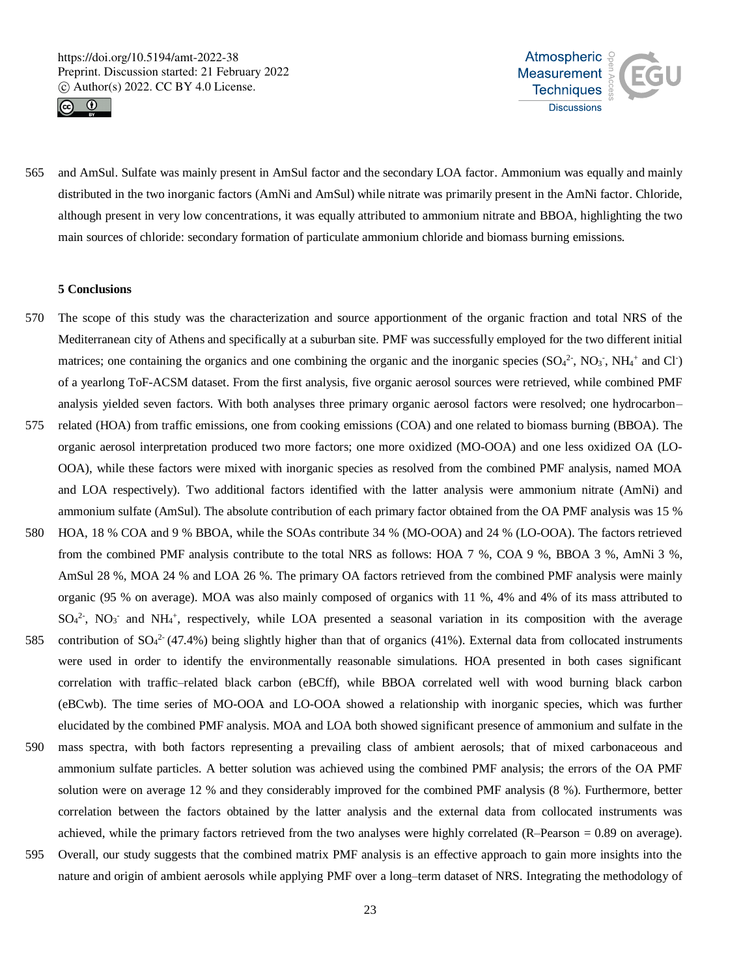



565 and AmSul. Sulfate was mainly present in AmSul factor and the secondary LOA factor. Ammonium was equally and mainly distributed in the two inorganic factors (AmNi and AmSul) while nitrate was primarily present in the AmNi factor. Chloride, although present in very low concentrations, it was equally attributed to ammonium nitrate and BBOA, highlighting the two main sources of chloride: secondary formation of particulate ammonium chloride and biomass burning emissions.

#### **5 Conclusions**

- 570 The scope of this study was the characterization and source apportionment of the organic fraction and total NRS of the Mediterranean city of Athens and specifically at a suburban site. PMF was successfully employed for the two different initial matrices; one containing the organics and one combining the organic and the inorganic species  $(SO<sub>4</sub><sup>2</sup>$ , NO<sub>3</sub>, NH<sub>4</sub><sup>+</sup> and Cl<sup>-</sup>) of a yearlong ToF-ACSM dataset. From the first analysis, five organic aerosol sources were retrieved, while combined PMF analysis yielded seven factors. With both analyses three primary organic aerosol factors were resolved; one hydrocarbon–
- 575 related (HOA) from traffic emissions, one from cooking emissions (COA) and one related to biomass burning (BBOA). The organic aerosol interpretation produced two more factors; one more oxidized (MO-OOA) and one less oxidized OA (LO-OOA), while these factors were mixed with inorganic species as resolved from the combined PMF analysis, named MOA and LOA respectively). Two additional factors identified with the latter analysis were ammonium nitrate (AmNi) and ammonium sulfate (AmSul). The absolute contribution of each primary factor obtained from the OA PMF analysis was 15 %
- 580 HOA, 18 % COA and 9 % BBOA, while the SOAs contribute 34 % (MO-OOA) and 24 % (LO-OOA). The factors retrieved from the combined PMF analysis contribute to the total NRS as follows: HOA 7 %, COA 9 %, BBOA 3 %, AmNi 3 %, AmSul 28 %, MOA 24 % and LOA 26 %. The primary OA factors retrieved from the combined PMF analysis were mainly organic (95 % on average). MOA was also mainly composed of organics with 11 %, 4% and 4% of its mass attributed to  $SO_4^2$ ,  $NO_3$  and  $NH_4$ <sup>+</sup>, respectively, while LOA presented a seasonal variation in its composition with the average
- 585 contribution of  $SO_4^2$  (47.4%) being slightly higher than that of organics (41%). External data from collocated instruments were used in order to identify the environmentally reasonable simulations. HOA presented in both cases significant correlation with traffic–related black carbon (eBCff), while BBOA correlated well with wood burning black carbon (eBCwb). The time series of MO-OOA and LO-OOA showed a relationship with inorganic species, which was further elucidated by the combined PMF analysis. MOA and LOA both showed significant presence of ammonium and sulfate in the
- 590 mass spectra, with both factors representing a prevailing class of ambient aerosols; that of mixed carbonaceous and ammonium sulfate particles. A better solution was achieved using the combined PMF analysis; the errors of the OA PMF solution were on average 12 % and they considerably improved for the combined PMF analysis (8 %). Furthermore, better correlation between the factors obtained by the latter analysis and the external data from collocated instruments was achieved, while the primary factors retrieved from the two analyses were highly correlated (R–Pearson = 0.89 on average).
- 595 Overall, our study suggests that the combined matrix PMF analysis is an effective approach to gain more insights into the nature and origin of ambient aerosols while applying PMF over a long–term dataset of NRS. Integrating the methodology of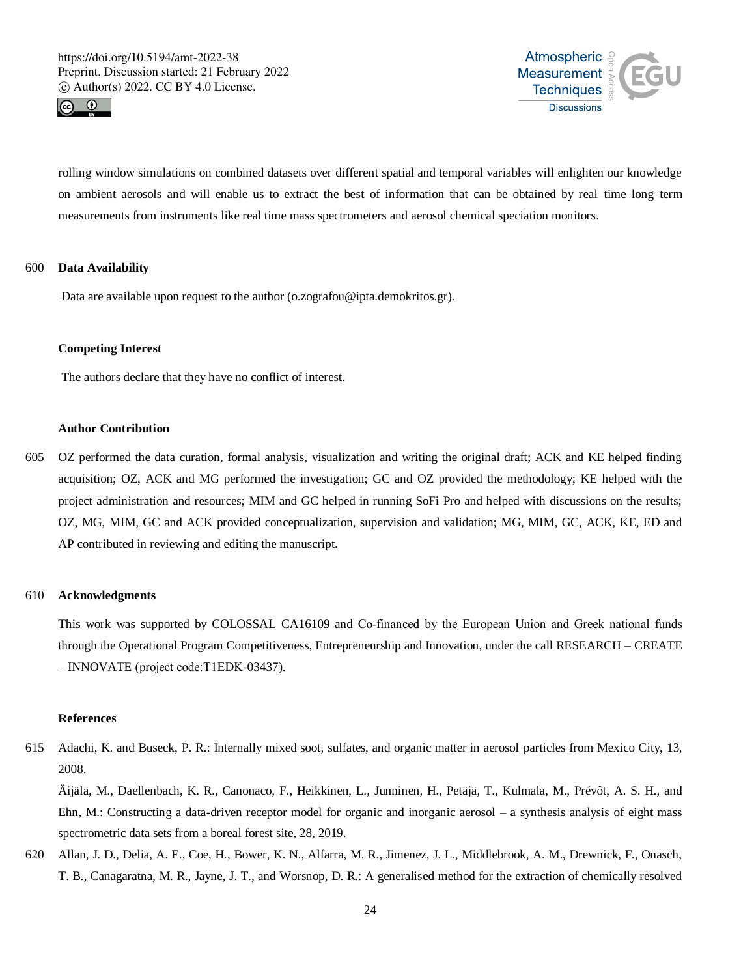



rolling window simulations on combined datasets over different spatial and temporal variables will enlighten our knowledge on ambient aerosols and will enable us to extract the best of information that can be obtained by real–time long–term measurements from instruments like real time mass spectrometers and aerosol chemical speciation monitors.

# 600 **Data Availability**

Data are available upon request to the author (o.zografou@ipta.demokritos.gr).

#### **Competing Interest**

The authors declare that they have no conflict of interest.

# **Author Contribution**

605 OZ performed the data curation, formal analysis, visualization and writing the original draft; ACK and KE helped finding acquisition; OZ, ACK and MG performed the investigation; GC and OZ provided the methodology; KE helped with the project administration and resources; MIM and GC helped in running SoFi Pro and helped with discussions on the results; OZ, MG, MIM, GC and ACK provided conceptualization, supervision and validation; MG, MIM, GC, ACK, KE, ED and AP contributed in reviewing and editing the manuscript.

## 610 **Acknowledgments**

This work was supported by COLOSSAL CA16109 and Co-financed by the European Union and Greek national funds through the Operational Program Competitiveness, Entrepreneurship and Innovation, under the call RESEARCH – CREATE – INNOVATE (project code:Τ1EDK-03437).

#### **References**

615 Adachi, K. and Buseck, P. R.: Internally mixed soot, sulfates, and organic matter in aerosol particles from Mexico City, 13, 2008.

Äijälä, M., Daellenbach, K. R., Canonaco, F., Heikkinen, L., Junninen, H., Petäjä, T., Kulmala, M., Prévôt, A. S. H., and Ehn, M.: Constructing a data-driven receptor model for organic and inorganic aerosol – a synthesis analysis of eight mass spectrometric data sets from a boreal forest site, 28, 2019.

620 Allan, J. D., Delia, A. E., Coe, H., Bower, K. N., Alfarra, M. R., Jimenez, J. L., Middlebrook, A. M., Drewnick, F., Onasch, T. B., Canagaratna, M. R., Jayne, J. T., and Worsnop, D. R.: A generalised method for the extraction of chemically resolved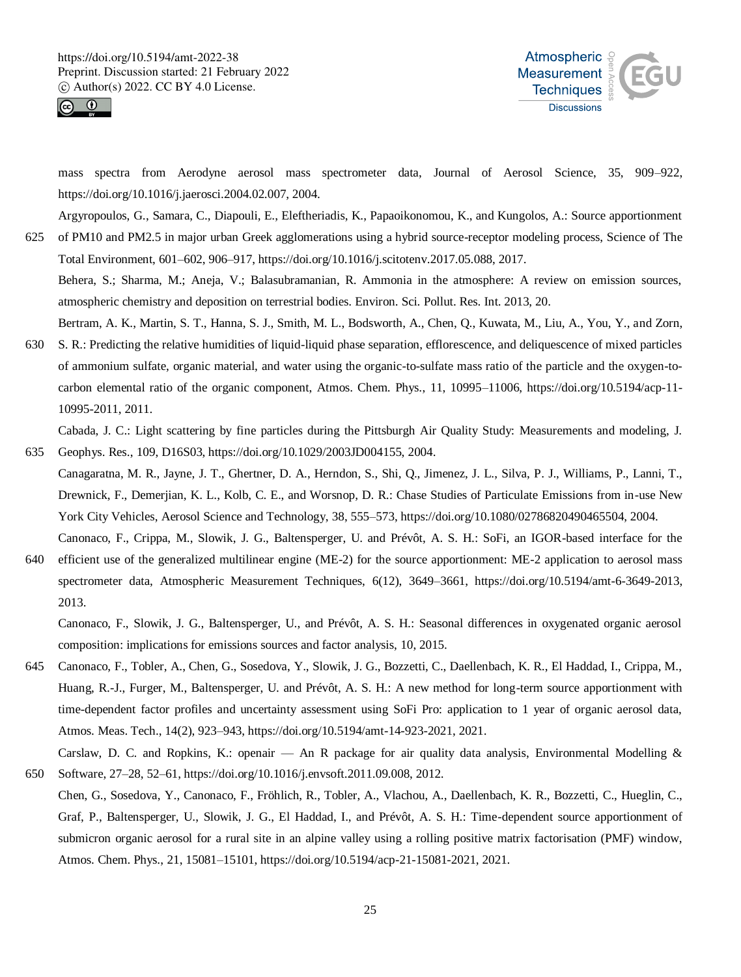



mass spectra from Aerodyne aerosol mass spectrometer data, Journal of Aerosol Science, 35, 909–922, https://doi.org/10.1016/j.jaerosci.2004.02.007, 2004.

Argyropoulos, G., Samara, C., Diapouli, E., Eleftheriadis, K., Papaoikonomou, K., and Kungolos, A.: Source apportionment 625 of PM10 and PM2.5 in major urban Greek agglomerations using a hybrid source-receptor modeling process, Science of The Total Environment, 601–602, 906–917, https://doi.org/10.1016/j.scitotenv.2017.05.088, 2017.

Behera, S.; Sharma, M.; Aneja, V.; Balasubramanian, R. Ammonia in the atmosphere: A review on emission sources, atmospheric chemistry and deposition on terrestrial bodies. Environ. Sci. Pollut. Res. Int. 2013, 20.

Bertram, A. K., Martin, S. T., Hanna, S. J., Smith, M. L., Bodsworth, A., Chen, Q., Kuwata, M., Liu, A., You, Y., and Zorn, 630 S. R.: Predicting the relative humidities of liquid-liquid phase separation, efflorescence, and deliquescence of mixed particles of ammonium sulfate, organic material, and water using the organic-to-sulfate mass ratio of the particle and the oxygen-tocarbon elemental ratio of the organic component, Atmos. Chem. Phys., 11, 10995–11006, https://doi.org/10.5194/acp-11- 10995-2011, 2011.

Cabada, J. C.: Light scattering by fine particles during the Pittsburgh Air Quality Study: Measurements and modeling, J. 635 Geophys. Res., 109, D16S03, https://doi.org/10.1029/2003JD004155, 2004.

- Canagaratna, M. R., Jayne, J. T., Ghertner, D. A., Herndon, S., Shi, Q., Jimenez, J. L., Silva, P. J., Williams, P., Lanni, T., Drewnick, F., Demerjian, K. L., Kolb, C. E., and Worsnop, D. R.: Chase Studies of Particulate Emissions from in-use New York City Vehicles, Aerosol Science and Technology, 38, 555–573, https://doi.org/10.1080/02786820490465504, 2004.
- Canonaco, F., Crippa, M., Slowik, J. G., Baltensperger, U. and Prévôt, A. S. H.: SoFi, an IGOR-based interface for the 640 efficient use of the generalized multilinear engine (ME-2) for the source apportionment: ME-2 application to aerosol mass spectrometer data, Atmospheric Measurement Techniques, 6(12), 3649–3661, https://doi.org/10.5194/amt-6-3649-2013, 2013.

Canonaco, F., Slowik, J. G., Baltensperger, U., and Prévôt, A. S. H.: Seasonal differences in oxygenated organic aerosol composition: implications for emissions sources and factor analysis, 10, 2015.

645 Canonaco, F., Tobler, A., Chen, G., Sosedova, Y., Slowik, J. G., Bozzetti, C., Daellenbach, K. R., El Haddad, I., Crippa, M., Huang, R.-J., Furger, M., Baltensperger, U. and Prévôt, A. S. H.: A new method for long-term source apportionment with time-dependent factor profiles and uncertainty assessment using SoFi Pro: application to 1 year of organic aerosol data, Atmos. Meas. Tech., 14(2), 923–943, https://doi.org/10.5194/amt-14-923-2021, 2021.

Carslaw, D. C. and Ropkins, K.: openair — An R package for air quality data analysis, Environmental Modelling & 650 Software, 27–28, 52–61, https://doi.org/10.1016/j.envsoft.2011.09.008, 2012.

Chen, G., Sosedova, Y., Canonaco, F., Fröhlich, R., Tobler, A., Vlachou, A., Daellenbach, K. R., Bozzetti, C., Hueglin, C., Graf, P., Baltensperger, U., Slowik, J. G., El Haddad, I., and Prévôt, A. S. H.: Time-dependent source apportionment of submicron organic aerosol for a rural site in an alpine valley using a rolling positive matrix factorisation (PMF) window, Atmos. Chem. Phys., 21, 15081–15101, https://doi.org/10.5194/acp-21-15081-2021, 2021.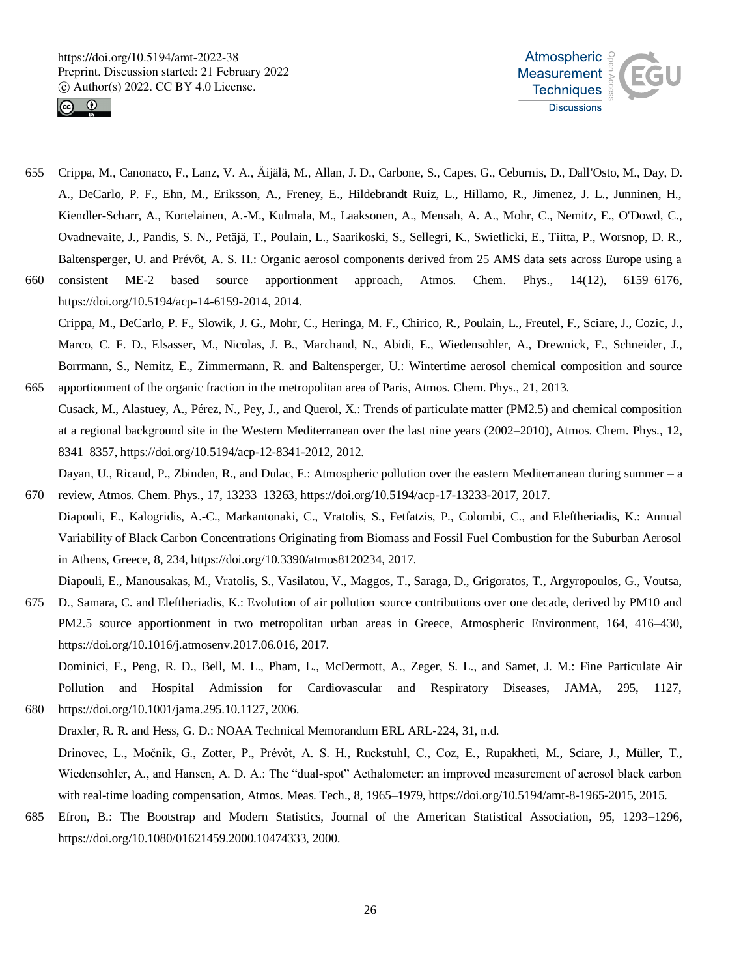



- 655 Crippa, M., Canonaco, F., Lanz, V. A., Äijälä, M., Allan, J. D., Carbone, S., Capes, G., Ceburnis, D., Dall'Osto, M., Day, D. A., DeCarlo, P. F., Ehn, M., Eriksson, A., Freney, E., Hildebrandt Ruiz, L., Hillamo, R., Jimenez, J. L., Junninen, H., Kiendler-Scharr, A., Kortelainen, A.-M., Kulmala, M., Laaksonen, A., Mensah, A. A., Mohr, C., Nemitz, E., O'Dowd, C., Ovadnevaite, J., Pandis, S. N., Petäjä, T., Poulain, L., Saarikoski, S., Sellegri, K., Swietlicki, E., Tiitta, P., Worsnop, D. R., Baltensperger, U. and Prévôt, A. S. H.: Organic aerosol components derived from 25 AMS data sets across Europe using a
- 660 consistent ME-2 based source apportionment approach, Atmos. Chem. Phys., 14(12), 6159–6176, https://doi.org/10.5194/acp-14-6159-2014, 2014. Crippa, M., DeCarlo, P. F., Slowik, J. G., Mohr, C., Heringa, M. F., Chirico, R., Poulain, L., Freutel, F., Sciare, J., Cozic, J., Marco, C. F. D., Elsasser, M., Nicolas, J. B., Marchand, N., Abidi, E., Wiedensohler, A., Drewnick, F., Schneider, J., Borrmann, S., Nemitz, E., Zimmermann, R. and Baltensperger, U.: Wintertime aerosol chemical composition and source
- 665 apportionment of the organic fraction in the metropolitan area of Paris, Atmos. Chem. Phys., 21, 2013. Cusack, M., Alastuey, A., Pérez, N., Pey, J., and Querol, X.: Trends of particulate matter (PM2.5) and chemical composition at a regional background site in the Western Mediterranean over the last nine years (2002–2010), Atmos. Chem. Phys., 12, 8341–8357, https://doi.org/10.5194/acp-12-8341-2012, 2012.

Dayan, U., Ricaud, P., Zbinden, R., and Dulac, F.: Atmospheric pollution over the eastern Mediterranean during summer – a

- 670 review, Atmos. Chem. Phys., 17, 13233–13263, https://doi.org/10.5194/acp-17-13233-2017, 2017. Diapouli, E., Kalogridis, A.-C., Markantonaki, C., Vratolis, S., Fetfatzis, P., Colombi, C., and Eleftheriadis, K.: Annual Variability of Black Carbon Concentrations Originating from Biomass and Fossil Fuel Combustion for the Suburban Aerosol in Athens, Greece, 8, 234, https://doi.org/10.3390/atmos8120234, 2017.
- Diapouli, E., Manousakas, M., Vratolis, S., Vasilatou, V., Maggos, T., Saraga, D., Grigoratos, T., Argyropoulos, G., Voutsa, 675 D., Samara, C. and Eleftheriadis, K.: Evolution of air pollution source contributions over one decade, derived by PM10 and PM2.5 source apportionment in two metropolitan urban areas in Greece, Atmospheric Environment, 164, 416–430, https://doi.org/10.1016/j.atmosenv.2017.06.016, 2017.

Dominici, F., Peng, R. D., Bell, M. L., Pham, L., McDermott, A., Zeger, S. L., and Samet, J. M.: Fine Particulate Air Pollution and Hospital Admission for Cardiovascular and Respiratory Diseases, JAMA, 295, 1127, 680 https://doi.org/10.1001/jama.295.10.1127, 2006.

- Draxler, R. R. and Hess, G. D.: NOAA Technical Memorandum ERL ARL-224, 31, n.d. Drinovec, L., Močnik, G., Zotter, P., Prévôt, A. S. H., Ruckstuhl, C., Coz, E., Rupakheti, M., Sciare, J., Müller, T., Wiedensohler, A., and Hansen, A. D. A.: The "dual-spot" Aethalometer: an improved measurement of aerosol black carbon with real-time loading compensation, Atmos. Meas. Tech., 8, 1965–1979, https://doi.org/10.5194/amt-8-1965-2015, 2015.
- 685 Efron, B.: The Bootstrap and Modern Statistics, Journal of the American Statistical Association, 95, 1293–1296, https://doi.org/10.1080/01621459.2000.10474333, 2000.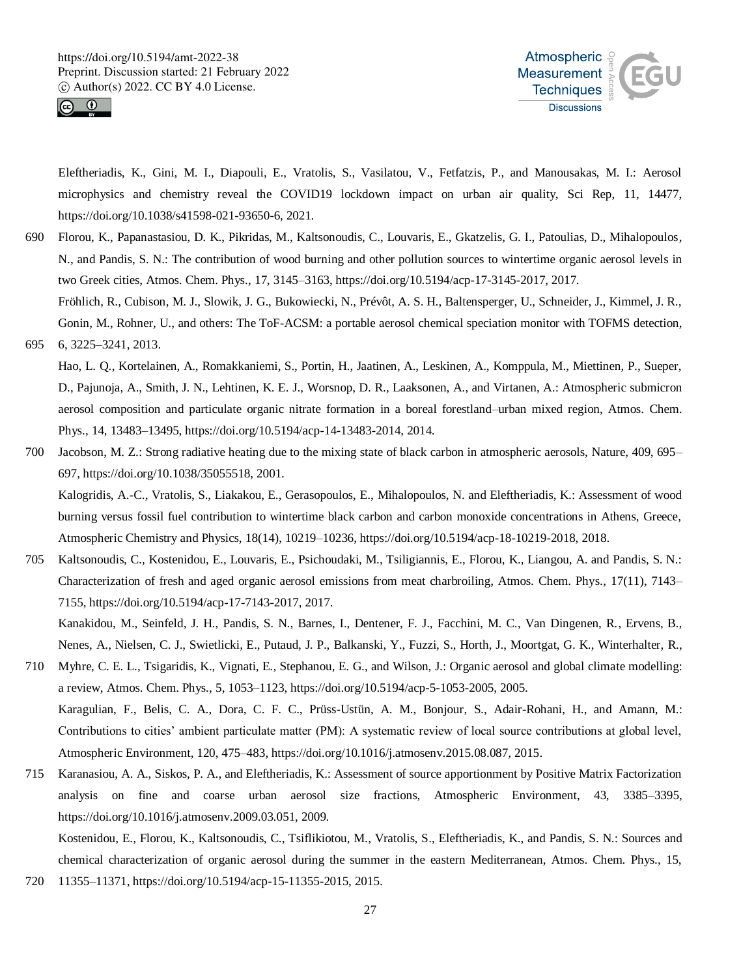



Eleftheriadis, K., Gini, M. I., Diapouli, E., Vratolis, S., Vasilatou, V., Fetfatzis, P., and Manousakas, M. I.: Aerosol microphysics and chemistry reveal the COVID19 lockdown impact on urban air quality, Sci Rep, 11, 14477, https://doi.org/10.1038/s41598-021-93650-6, 2021.

690 Florou, K., Papanastasiou, D. K., Pikridas, M., Kaltsonoudis, C., Louvaris, E., Gkatzelis, G. I., Patoulias, D., Mihalopoulos, N., and Pandis, S. N.: The contribution of wood burning and other pollution sources to wintertime organic aerosol levels in two Greek cities, Atmos. Chem. Phys., 17, 3145–3163, https://doi.org/10.5194/acp-17-3145-2017, 2017. Fröhlich, R., Cubison, M. J., Slowik, J. G., Bukowiecki, N., Prévôt, A. S. H., Baltensperger, U., Schneider, J., Kimmel, J. R.,

Gonin, M., Rohner, U., and others: The ToF-ACSM: a portable aerosol chemical speciation monitor with TOFMS detection, 695 6, 3225–3241, 2013.

Hao, L. Q., Kortelainen, A., Romakkaniemi, S., Portin, H., Jaatinen, A., Leskinen, A., Komppula, M., Miettinen, P., Sueper, D., Pajunoja, A., Smith, J. N., Lehtinen, K. E. J., Worsnop, D. R., Laaksonen, A., and Virtanen, A.: Atmospheric submicron aerosol composition and particulate organic nitrate formation in a boreal forestland–urban mixed region, Atmos. Chem. Phys., 14, 13483–13495, https://doi.org/10.5194/acp-14-13483-2014, 2014.

- 700 Jacobson, M. Z.: Strong radiative heating due to the mixing state of black carbon in atmospheric aerosols, Nature, 409, 695– 697, https://doi.org/10.1038/35055518, 2001.
- Kalogridis, A.-C., Vratolis, S., Liakakou, E., Gerasopoulos, E., Mihalopoulos, N. and Eleftheriadis, K.: Assessment of wood burning versus fossil fuel contribution to wintertime black carbon and carbon monoxide concentrations in Athens, Greece, Atmospheric Chemistry and Physics, 18(14), 10219–10236, https://doi.org/10.5194/acp-18-10219-2018, 2018.
- 705 Kaltsonoudis, C., Kostenidou, E., Louvaris, E., Psichoudaki, M., Tsiligiannis, E., Florou, K., Liangou, A. and Pandis, S. N.: Characterization of fresh and aged organic aerosol emissions from meat charbroiling, Atmos. Chem. Phys., 17(11), 7143– 7155, https://doi.org/10.5194/acp-17-7143-2017, 2017.

Kanakidou, M., Seinfeld, J. H., Pandis, S. N., Barnes, I., Dentener, F. J., Facchini, M. C., Van Dingenen, R., Ervens, B., Nenes, A., Nielsen, C. J., Swietlicki, E., Putaud, J. P., Balkanski, Y., Fuzzi, S., Horth, J., Moortgat, G. K., Winterhalter, R.,

- 710 Myhre, C. E. L., Tsigaridis, K., Vignati, E., Stephanou, E. G., and Wilson, J.: Organic aerosol and global climate modelling: a review, Atmos. Chem. Phys., 5, 1053–1123, https://doi.org/10.5194/acp-5-1053-2005, 2005. Karagulian, F., Belis, C. A., Dora, C. F. C., Prüss-Ustün, A. M., Bonjour, S., Adair-Rohani, H., and Amann, M.:
	- Contributions to cities' ambient particulate matter (PM): A systematic review of local source contributions at global level, Atmospheric Environment, 120, 475–483, https://doi.org/10.1016/j.atmosenv.2015.08.087, 2015.
- 715 Karanasiou, A. A., Siskos, P. A., and Eleftheriadis, K.: Assessment of source apportionment by Positive Matrix Factorization analysis on fine and coarse urban aerosol size fractions, Atmospheric Environment, 43, 3385–3395, https://doi.org/10.1016/j.atmosenv.2009.03.051, 2009.

Kostenidou, E., Florou, K., Kaltsonoudis, C., Tsiflikiotou, M., Vratolis, S., Eleftheriadis, K., and Pandis, S. N.: Sources and chemical characterization of organic aerosol during the summer in the eastern Mediterranean, Atmos. Chem. Phys., 15, 720 11355–11371, https://doi.org/10.5194/acp-15-11355-2015, 2015.

27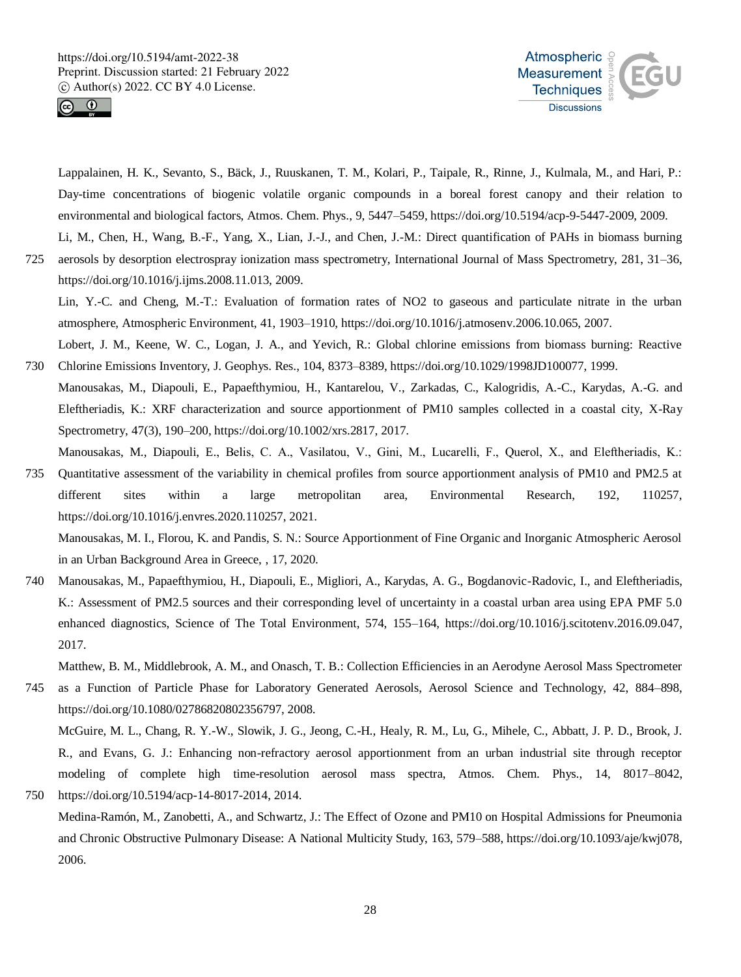

2006.



Lappalainen, H. K., Sevanto, S., Bäck, J., Ruuskanen, T. M., Kolari, P., Taipale, R., Rinne, J., Kulmala, M., and Hari, P.: Day-time concentrations of biogenic volatile organic compounds in a boreal forest canopy and their relation to environmental and biological factors, Atmos. Chem. Phys., 9, 5447–5459, https://doi.org/10.5194/acp-9-5447-2009, 2009.

Li, M., Chen, H., Wang, B.-F., Yang, X., Lian, J.-J., and Chen, J.-M.: Direct quantification of PAHs in biomass burning 725 aerosols by desorption electrospray ionization mass spectrometry, International Journal of Mass Spectrometry, 281, 31–36, https://doi.org/10.1016/j.ijms.2008.11.013, 2009.

Lin, Y.-C. and Cheng, M.-T.: Evaluation of formation rates of NO2 to gaseous and particulate nitrate in the urban atmosphere, Atmospheric Environment, 41, 1903–1910, https://doi.org/10.1016/j.atmosenv.2006.10.065, 2007.

Lobert, J. M., Keene, W. C., Logan, J. A., and Yevich, R.: Global chlorine emissions from biomass burning: Reactive 730 Chlorine Emissions Inventory, J. Geophys. Res., 104, 8373–8389, https://doi.org/10.1029/1998JD100077, 1999.

- Manousakas, M., Diapouli, E., Papaefthymiou, H., Kantarelou, V., Zarkadas, C., Kalogridis, A.-C., Karydas, A.-G. and Eleftheriadis, K.: XRF characterization and source apportionment of PM10 samples collected in a coastal city, X-Ray Spectrometry, 47(3), 190–200, https://doi.org/10.1002/xrs.2817, 2017.
- Manousakas, M., Diapouli, E., Belis, C. Α., Vasilatou, V., Gini, M., Lucarelli, F., Querol, X., and Eleftheriadis, K.: 735 Quantitative assessment of the variability in chemical profiles from source apportionment analysis of PM10 and PM2.5 at different sites within a large metropolitan area, Environmental Research, 192, 110257, https://doi.org/10.1016/j.envres.2020.110257, 2021.

Manousakas, M. I., Florou, K. and Pandis, S. N.: Source Apportionment of Fine Organic and Inorganic Atmospheric Aerosol in an Urban Background Area in Greece, , 17, 2020.

740 Manousakas, M., Papaefthymiou, H., Diapouli, E., Migliori, A., Karydas, A. G., Bogdanovic-Radovic, I., and Eleftheriadis, K.: Assessment of PM2.5 sources and their corresponding level of uncertainty in a coastal urban area using EPA PMF 5.0 enhanced diagnostics, Science of The Total Environment, 574, 155–164, https://doi.org/10.1016/j.scitotenv.2016.09.047, 2017.

Matthew, B. M., Middlebrook, A. M., and Onasch, T. B.: Collection Efficiencies in an Aerodyne Aerosol Mass Spectrometer

745 as a Function of Particle Phase for Laboratory Generated Aerosols, Aerosol Science and Technology, 42, 884–898, https://doi.org/10.1080/02786820802356797, 2008. McGuire, M. L., Chang, R. Y.-W., Slowik, J. G., Jeong, C.-H., Healy, R. M., Lu, G., Mihele, C., Abbatt, J. P. D., Brook, J. R., and Evans, G. J.: Enhancing non-refractory aerosol apportionment from an urban industrial site through receptor modeling of complete high time-resolution aerosol mass spectra, Atmos. Chem. Phys., 14, 8017–8042,

750 https://doi.org/10.5194/acp-14-8017-2014, 2014. Medina-Ramón, M., Zanobetti, A., and Schwartz, J.: The Effect of Ozone and PM10 on Hospital Admissions for Pneumonia and Chronic Obstructive Pulmonary Disease: A National Multicity Study, 163, 579–588, https://doi.org/10.1093/aje/kwj078,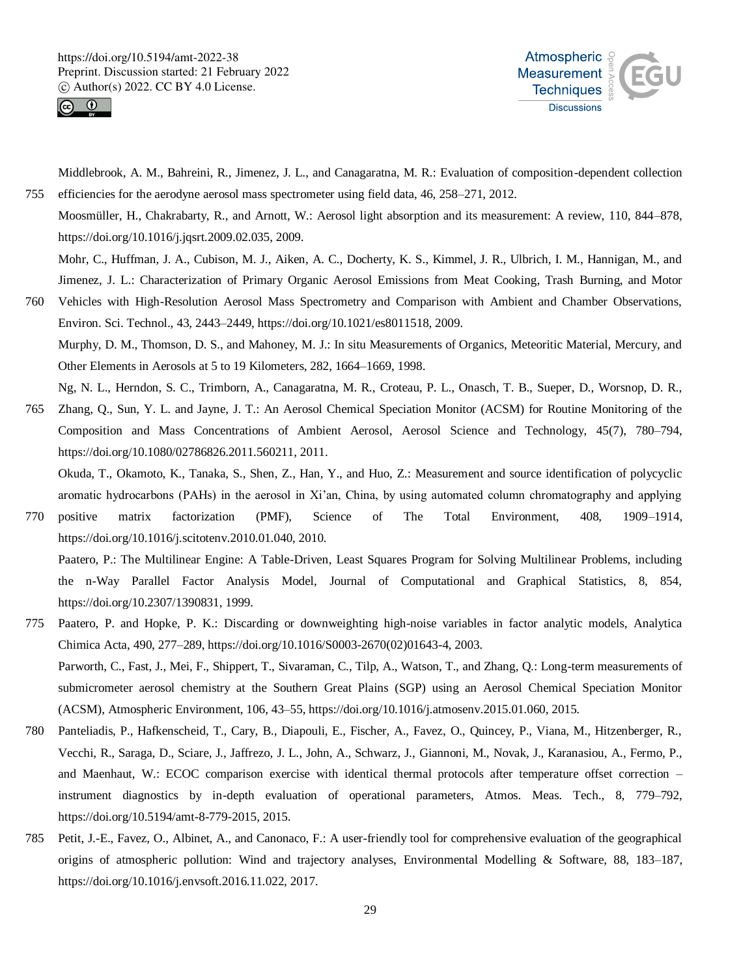



Middlebrook, A. M., Bahreini, R., Jimenez, J. L., and Canagaratna, M. R.: Evaluation of composition-dependent collection 755 efficiencies for the aerodyne aerosol mass spectrometer using field data, 46, 258–271, 2012.

Moosmüller, H., Chakrabarty, R., and Arnott, W.: Aerosol light absorption and its measurement: A review, 110, 844–878, https://doi.org/10.1016/j.jqsrt.2009.02.035, 2009.

Mohr, C., Huffman, J. A., Cubison, M. J., Aiken, A. C., Docherty, K. S., Kimmel, J. R., Ulbrich, I. M., Hannigan, M., and Jimenez, J. L.: Characterization of Primary Organic Aerosol Emissions from Meat Cooking, Trash Burning, and Motor

760 Vehicles with High-Resolution Aerosol Mass Spectrometry and Comparison with Ambient and Chamber Observations, Environ. Sci. Technol., 43, 2443–2449, https://doi.org/10.1021/es8011518, 2009. Murphy, D. M., Thomson, D. S., and Mahoney, M. J.: In situ Measurements of Organics, Meteoritic Material, Mercury, and Other Elements in Aerosols at 5 to 19 Kilometers, 282, 1664–1669, 1998.

Ng, N. L., Herndon, S. C., Trimborn, A., Canagaratna, M. R., Croteau, P. L., Onasch, T. B., Sueper, D., Worsnop, D. R.,

765 Zhang, Q., Sun, Y. L. and Jayne, J. T.: An Aerosol Chemical Speciation Monitor (ACSM) for Routine Monitoring of the Composition and Mass Concentrations of Ambient Aerosol, Aerosol Science and Technology, 45(7), 780–794, https://doi.org/10.1080/02786826.2011.560211, 2011.

Okuda, T., Okamoto, K., Tanaka, S., Shen, Z., Han, Y., and Huo, Z.: Measurement and source identification of polycyclic aromatic hydrocarbons (PAHs) in the aerosol in Xi'an, China, by using automated column chromatography and applying

- 770 positive matrix factorization (PMF), Science of The Total Environment, 408, 1909–1914, https://doi.org/10.1016/j.scitotenv.2010.01.040, 2010. Paatero, P.: The Multilinear Engine: A Table-Driven, Least Squares Program for Solving Multilinear Problems, including the n-Way Parallel Factor Analysis Model, Journal of Computational and Graphical Statistics, 8, 854, https://doi.org/10.2307/1390831, 1999.
- 775 Paatero, P. and Hopke, P. K.: Discarding or downweighting high-noise variables in factor analytic models, Analytica Chimica Acta, 490, 277–289, https://doi.org/10.1016/S0003-2670(02)01643-4, 2003. Parworth, C., Fast, J., Mei, F., Shippert, T., Sivaraman, C., Tilp, A., Watson, T., and Zhang, Q.: Long-term measurements of submicrometer aerosol chemistry at the Southern Great Plains (SGP) using an Aerosol Chemical Speciation Monitor (ACSM), Atmospheric Environment, 106, 43–55, https://doi.org/10.1016/j.atmosenv.2015.01.060, 2015.
- 780 Panteliadis, P., Hafkenscheid, T., Cary, B., Diapouli, E., Fischer, A., Favez, O., Quincey, P., Viana, M., Hitzenberger, R., Vecchi, R., Saraga, D., Sciare, J., Jaffrezo, J. L., John, A., Schwarz, J., Giannoni, M., Novak, J., Karanasiou, A., Fermo, P., and Maenhaut, W.: ECOC comparison exercise with identical thermal protocols after temperature offset correction – instrument diagnostics by in-depth evaluation of operational parameters, Atmos. Meas. Tech., 8, 779–792, https://doi.org/10.5194/amt-8-779-2015, 2015.
- 785 Petit, J.-E., Favez, O., Albinet, A., and Canonaco, F.: A user-friendly tool for comprehensive evaluation of the geographical origins of atmospheric pollution: Wind and trajectory analyses, Environmental Modelling & Software, 88, 183–187, https://doi.org/10.1016/j.envsoft.2016.11.022, 2017.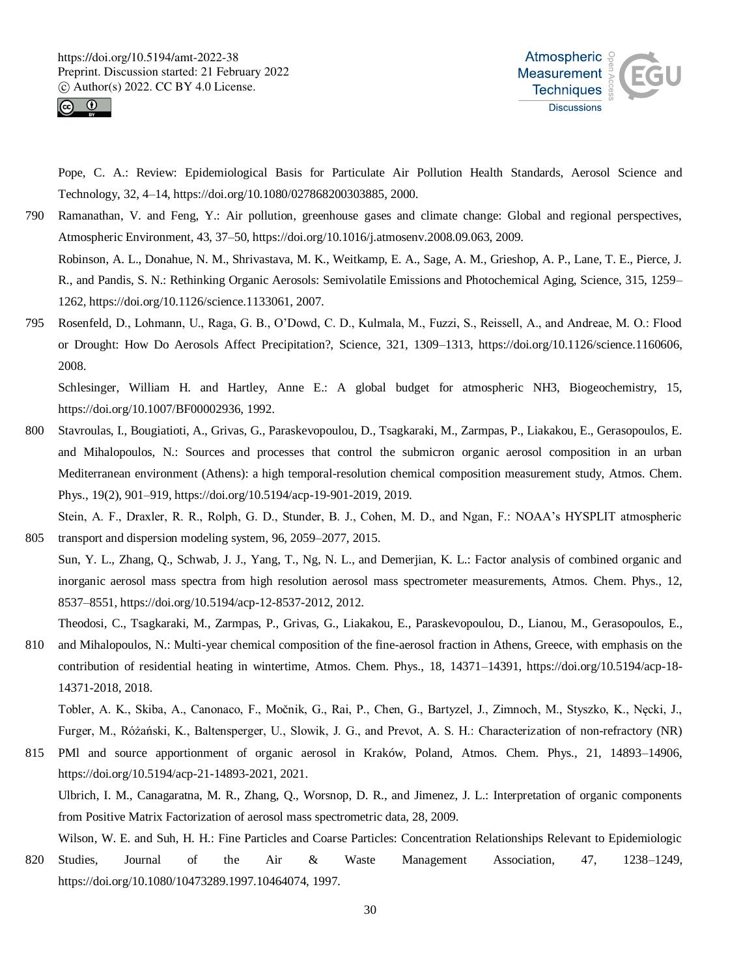



Pope, C. A.: Review: Epidemiological Basis for Particulate Air Pollution Health Standards, Aerosol Science and Technology, 32, 4–14, https://doi.org/10.1080/027868200303885, 2000.

- 790 Ramanathan, V. and Feng, Y.: Air pollution, greenhouse gases and climate change: Global and regional perspectives, Atmospheric Environment, 43, 37–50, https://doi.org/10.1016/j.atmosenv.2008.09.063, 2009. Robinson, A. L., Donahue, N. M., Shrivastava, M. K., Weitkamp, E. A., Sage, A. M., Grieshop, A. P., Lane, T. E., Pierce, J. R., and Pandis, S. N.: Rethinking Organic Aerosols: Semivolatile Emissions and Photochemical Aging, Science, 315, 1259– 1262, https://doi.org/10.1126/science.1133061, 2007.
- 795 Rosenfeld, D., Lohmann, U., Raga, G. B., O'Dowd, C. D., Kulmala, M., Fuzzi, S., Reissell, A., and Andreae, M. O.: Flood or Drought: How Do Aerosols Affect Precipitation?, Science, 321, 1309–1313, https://doi.org/10.1126/science.1160606, 2008.

Schlesinger, William H. and Hartley, Anne E.: A global budget for atmospheric NH3, Biogeochemistry, 15, https://doi.org/10.1007/BF00002936, 1992.

800 Stavroulas, I., Bougiatioti, A., Grivas, G., Paraskevopoulou, D., Tsagkaraki, M., Zarmpas, P., Liakakou, E., Gerasopoulos, E. and Mihalopoulos, N.: Sources and processes that control the submicron organic aerosol composition in an urban Mediterranean environment (Athens): a high temporal-resolution chemical composition measurement study, Atmos. Chem. Phys., 19(2), 901–919, https://doi.org/10.5194/acp-19-901-2019, 2019.

Stein, A. F., Draxler, R. R., Rolph, G. D., Stunder, B. J., Cohen, M. D., and Ngan, F.: NOAA's HYSPLIT atmospheric 805 transport and dispersion modeling system, 96, 2059–2077, 2015.

Sun, Y. L., Zhang, Q., Schwab, J. J., Yang, T., Ng, N. L., and Demerjian, K. L.: Factor analysis of combined organic and inorganic aerosol mass spectra from high resolution aerosol mass spectrometer measurements, Atmos. Chem. Phys., 12, 8537–8551, https://doi.org/10.5194/acp-12-8537-2012, 2012.

Theodosi, C., Tsagkaraki, M., Zarmpas, P., Grivas, G., Liakakou, E., Paraskevopoulou, D., Lianou, M., Gerasopoulos, E.,

810 and Mihalopoulos, N.: Multi-year chemical composition of the fine-aerosol fraction in Athens, Greece, with emphasis on the contribution of residential heating in wintertime, Atmos. Chem. Phys., 18, 14371–14391, https://doi.org/10.5194/acp-18- 14371-2018, 2018.

Tobler, A. K., Skiba, A., Canonaco, F., Močnik, G., Rai, P., Chen, G., Bartyzel, J., Zimnoch, M., Styszko, K., Nęcki, J., Furger, M., Różański, K., Baltensperger, U., Slowik, J. G., and Prevot, A. S. H.: Characterization of non-refractory (NR)

815 PMl and source apportionment of organic aerosol in Kraków, Poland, Atmos. Chem. Phys., 21, 14893–14906, https://doi.org/10.5194/acp-21-14893-2021, 2021.

Ulbrich, I. M., Canagaratna, M. R., Zhang, Q., Worsnop, D. R., and Jimenez, J. L.: Interpretation of organic components from Positive Matrix Factorization of aerosol mass spectrometric data, 28, 2009.

Wilson, W. E. and Suh, H. H.: Fine Particles and Coarse Particles: Concentration Relationships Relevant to Epidemiologic

820 Studies, Journal of the Air & Waste Management Association, 47, 1238–1249, https://doi.org/10.1080/10473289.1997.10464074, 1997.